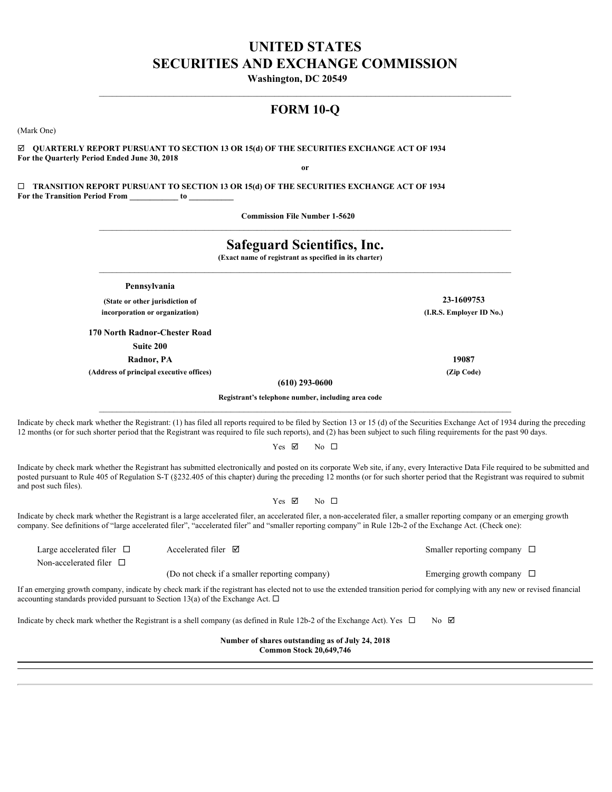# **UNITED STATES SECURITIES AND EXCHANGE COMMISSION**

**Washington, DC 20549** 

## **FORM 10-Q**

 $\mathcal{L}_\mathcal{L} = \mathcal{L}_\mathcal{L}$ 

(Mark One)

þ **QUARTERLY REPORT PURSUANT TO SECTION 13 OR 15(d) OF THE SECURITIES EXCHANGE ACT OF 1934 For the Quarterly Period Ended June 30, 2018 or**

¨ **TRANSITION REPORT PURSUANT TO SECTION 13 OR 15(d) OF THE SECURITIES EXCHANGE ACT OF 1934 For the Transition Period From \_\_\_\_\_\_\_\_\_\_\_\_ to \_\_\_\_\_\_\_\_\_\_\_**

**Commission File Number 1-5620** 

|                                | <b>Safeguard Scientifics, Inc.</b><br>(Exact name of registrant as specified in its charter)                                |                                                                                                                                                                                                                                                                                                                                                                                                                                                                                                                                                                                                                                                                                                                                                      |  |
|--------------------------------|-----------------------------------------------------------------------------------------------------------------------------|------------------------------------------------------------------------------------------------------------------------------------------------------------------------------------------------------------------------------------------------------------------------------------------------------------------------------------------------------------------------------------------------------------------------------------------------------------------------------------------------------------------------------------------------------------------------------------------------------------------------------------------------------------------------------------------------------------------------------------------------------|--|
|                                | Pennsylvania                                                                                                                |                                                                                                                                                                                                                                                                                                                                                                                                                                                                                                                                                                                                                                                                                                                                                      |  |
|                                | (State or other jurisdiction of<br>incorporation or organization)                                                           | 23-1609753<br>(I.R.S. Employer ID No.)                                                                                                                                                                                                                                                                                                                                                                                                                                                                                                                                                                                                                                                                                                               |  |
|                                | 170 North Radnor-Chester Road                                                                                               |                                                                                                                                                                                                                                                                                                                                                                                                                                                                                                                                                                                                                                                                                                                                                      |  |
|                                | Suite 200                                                                                                                   |                                                                                                                                                                                                                                                                                                                                                                                                                                                                                                                                                                                                                                                                                                                                                      |  |
|                                | Radnor, PA                                                                                                                  | 19087                                                                                                                                                                                                                                                                                                                                                                                                                                                                                                                                                                                                                                                                                                                                                |  |
|                                | (Address of principal executive offices)                                                                                    | (Zip Code)                                                                                                                                                                                                                                                                                                                                                                                                                                                                                                                                                                                                                                                                                                                                           |  |
|                                | $(610)$ 293-0600                                                                                                            |                                                                                                                                                                                                                                                                                                                                                                                                                                                                                                                                                                                                                                                                                                                                                      |  |
|                                | Registrant's telephone number, including area code                                                                          |                                                                                                                                                                                                                                                                                                                                                                                                                                                                                                                                                                                                                                                                                                                                                      |  |
| and post such files).          | Yes $\boxtimes$                                                                                                             | Indicate by check mark whether the Registrant: (1) has filed all reports required to be filed by Section 13 or 15 (d) of the Securities Exchange Act of 1934 during the preceding<br>12 months (or for such shorter period that the Registrant was required to file such reports), and (2) has been subject to such filing requirements for the past 90 days.<br>No $\square$<br>Indicate by check mark whether the Registrant has submitted electronically and posted on its corporate Web site, if any, every Interactive Data File required to be submitted and<br>posted pursuant to Rule 405 of Regulation S-T (§232.405 of this chapter) during the preceding 12 months (or for such shorter period that the Registrant was required to submit |  |
|                                | Yes $\boxtimes$                                                                                                             | No $\Box$                                                                                                                                                                                                                                                                                                                                                                                                                                                                                                                                                                                                                                                                                                                                            |  |
|                                |                                                                                                                             | Indicate by check mark whether the Registrant is a large accelerated filer, an accelerated filer, a non-accelerated filer, a smaller reporting company or an emerging growth<br>company. See definitions of "large accelerated filer", "accelerated filer" and "smaller reporting company" in Rule 12b-2 of the Exchange Act. (Check one):                                                                                                                                                                                                                                                                                                                                                                                                           |  |
| Large accelerated filer $\Box$ | Accelerated filer $\boxtimes$                                                                                               | Smaller reporting company $\Box$                                                                                                                                                                                                                                                                                                                                                                                                                                                                                                                                                                                                                                                                                                                     |  |
| Non-accelerated filer $\Box$   |                                                                                                                             |                                                                                                                                                                                                                                                                                                                                                                                                                                                                                                                                                                                                                                                                                                                                                      |  |
|                                | (Do not check if a smaller reporting company)                                                                               | Emerging growth company $\Box$                                                                                                                                                                                                                                                                                                                                                                                                                                                                                                                                                                                                                                                                                                                       |  |
|                                | accounting standards provided pursuant to Section 13(a) of the Exchange Act. $\Box$                                         | If an emerging growth company, indicate by check mark if the registrant has elected not to use the extended transition period for complying with any new or revised financial                                                                                                                                                                                                                                                                                                                                                                                                                                                                                                                                                                        |  |
|                                |                                                                                                                             |                                                                                                                                                                                                                                                                                                                                                                                                                                                                                                                                                                                                                                                                                                                                                      |  |
|                                | Indicate by check mark whether the Registrant is a shell company (as defined in Rule 12b-2 of the Exchange Act). Yes $\Box$ | $No$ $\boxtimes$                                                                                                                                                                                                                                                                                                                                                                                                                                                                                                                                                                                                                                                                                                                                     |  |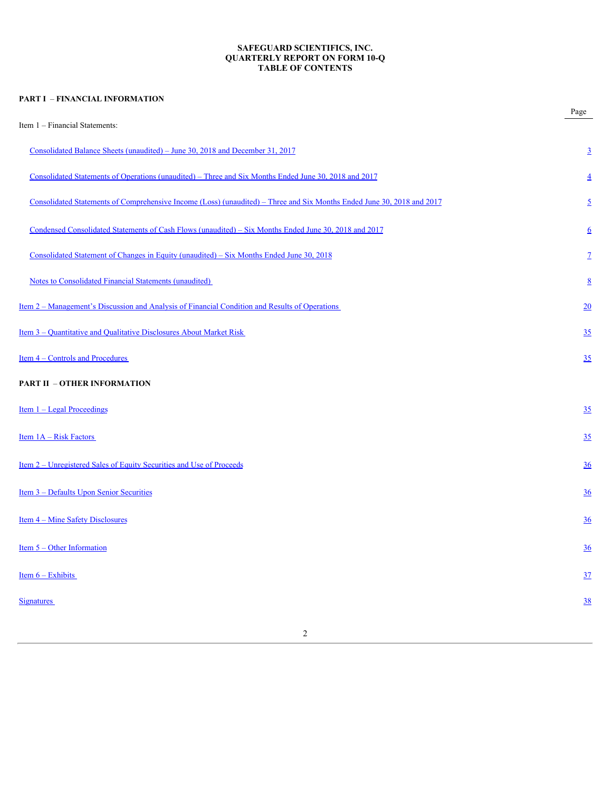## **SAFEGUARD SCIENTIFICS, INC. QUARTERLY REPORT ON FORM 10-Q TABLE OF CONTENTS**

| <b>PART I - FINANCIAL INFORMATION</b>                                                                                  |                  |
|------------------------------------------------------------------------------------------------------------------------|------------------|
| Item 1 - Financial Statements:                                                                                         | Page             |
| Consolidated Balance Sheets (unaudited) – June 30, 2018 and December 31, 2017                                          | $\overline{3}$   |
| Consolidated Statements of Operations (unaudited) - Three and Six Months Ended June 30, 2018 and 2017                  | $\overline{4}$   |
| Consolidated Statements of Comprehensive Income (Loss) (unaudited) - Three and Six Months Ended June 30, 2018 and 2017 | $\overline{2}$   |
| Condensed Consolidated Statements of Cash Flows (unaudited) – Six Months Ended June 30, 2018 and 2017                  | $6\overline{6}$  |
| Consolidated Statement of Changes in Equity (unaudited) – Six Months Ended June 30, 2018                               | $\mathbf{Z}$     |
| <b>Notes to Consolidated Financial Statements (unaudited)</b>                                                          | 8                |
| <u>Item 2 – Management's Discussion and Analysis of Financial Condition and Results of Operations</u>                  | 20               |
| <u>Item 3 – Quantitative and Qualitative Disclosures About Market Risk</u>                                             | 35               |
| <u>Item 4 – Controls and Procedures</u>                                                                                | 35               |
| <b>PART II - OTHER INFORMATION</b>                                                                                     |                  |
| $Item 1 - Legal Proceedings$                                                                                           | 35               |
| Item 1A - Risk Factors                                                                                                 | 35               |
| <u>Item 2 – Unregistered Sales of Equity Securities and Use of Proceeds</u>                                            | $\underline{36}$ |
| Item 3 - Defaults Upon Senior Securities                                                                               | $\frac{36}{5}$   |
| <u>Item 4 – Mine Safety Disclosures</u>                                                                                | $\frac{36}{5}$   |
| Item 5 - Other Information                                                                                             | $\frac{36}{5}$   |
| Item $6 -$ Exhibits                                                                                                    | 37               |
| <b>Signatures</b>                                                                                                      | 38               |
|                                                                                                                        |                  |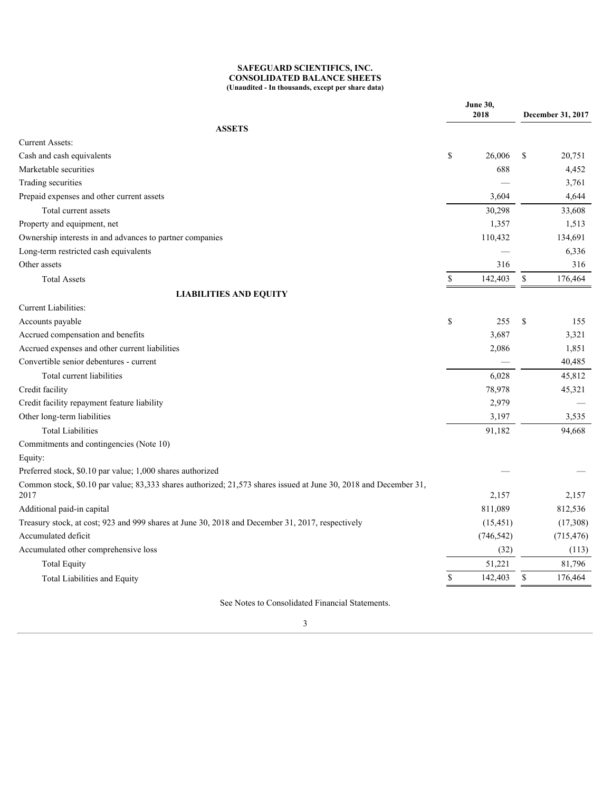#### **SAFEGUARD SCIENTIFICS, INC. CONSOLIDATED BALANCE SHEETS (Unaudited - In thousands, except per share data)**

<span id="page-2-0"></span>

|                                                                                                                  |               | <b>June 30,</b><br>2018  |              | December 31, 2017               |
|------------------------------------------------------------------------------------------------------------------|---------------|--------------------------|--------------|---------------------------------|
| <b>ASSETS</b>                                                                                                    |               |                          |              |                                 |
| Current Assets:                                                                                                  |               |                          |              |                                 |
| Cash and cash equivalents                                                                                        | <sup>\$</sup> | $26,006$ \$              |              | 20,751                          |
| Marketable securities                                                                                            |               | 688                      |              | 4,452                           |
| Trading securities                                                                                               |               | $\overline{\phantom{m}}$ |              | 3,761                           |
| Prepaid expenses and other current assets                                                                        |               | 3,604                    |              | 4,644                           |
| Total current assets                                                                                             |               | 30,298                   |              | 33,608                          |
| Property and equipment, net                                                                                      |               | 1,357                    |              | 1,513                           |
| Ownership interests in and advances to partner companies                                                         |               | 110,432                  |              | 134,691                         |
| Long-term restricted cash equivalents                                                                            |               | $\overline{\phantom{m}}$ |              | 6,336                           |
| Other assets                                                                                                     |               | 316                      |              | 316                             |
| <b>Total Assets</b>                                                                                              | <sup>S</sup>  | 142,403                  | $\mathbb{S}$ | 176,464                         |
| <b>LIABILITIES AND EQUITY</b>                                                                                    |               |                          |              |                                 |
| Current Liabilities:                                                                                             |               |                          |              |                                 |
| Accounts payable                                                                                                 | $\mathbb{S}$  | 255 \$                   |              | 155                             |
| Accrued compensation and benefits                                                                                |               | 3,687                    |              | 3,321                           |
| Accrued expenses and other current liabilities                                                                   |               | 2,086                    |              | 1,851                           |
| Convertible senior debentures - current                                                                          |               | $\overline{\phantom{m}}$ |              | 40,485                          |
| Total current liabilities                                                                                        |               | 6,028                    |              | 45,812                          |
| Credit facility                                                                                                  |               | 78,978                   |              | 45,321                          |
| Credit facility repayment feature liability                                                                      |               | 2,979                    |              | $\overbrace{\qquad \qquad }^{}$ |
| Other long-term liabilities                                                                                      |               | 3,197                    |              | 3,535                           |
| <b>Total Liabilities</b>                                                                                         |               | 91,182                   |              | 94,668                          |
| Commitments and contingencies (Note 10)                                                                          |               |                          |              |                                 |
| Equity:                                                                                                          |               |                          |              |                                 |
| Preferred stock, \$0.10 par value; 1,000 shares authorized                                                       |               |                          |              |                                 |
| Common stock, \$0.10 par value; 83,333 shares authorized; 21,573 shares issued at June 30, 2018 and December 31, |               |                          |              |                                 |
| 2017                                                                                                             |               | 2,157                    |              | 2,157                           |
| Additional paid-in capital                                                                                       |               | 811,089                  |              | 812,536                         |
| Treasury stock, at cost; 923 and 999 shares at June 30, 2018 and December 31, 2017, respectively                 |               | (15, 451)                |              | (17,308)                        |
| Accumulated deficit                                                                                              |               | (746, 542)               |              | (715, 476)                      |
| Accumulated other comprehensive loss                                                                             |               | (32)                     |              | (113)                           |
| <b>Total Equity</b>                                                                                              |               | 51,221                   |              | 81,796                          |
| Total Liabilities and Equity                                                                                     |               | 142,403                  | $\mathbb{S}$ | 176,464                         |
|                                                                                                                  |               |                          |              |                                 |

See Notes to Consolidated Financial Statements.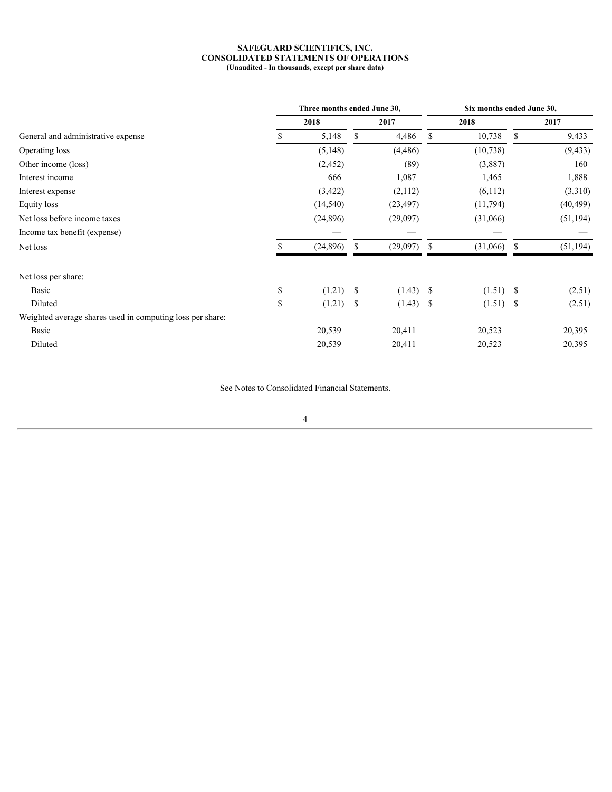#### **SAFEGUARD SCIENTIFICS, INC. CONSOLIDATED STATEMENTS OF OPERATIONS (Unaudited - In thousands, except per share data)**

<span id="page-3-0"></span>

| 2018 | 2017                                                                                                     |                                                                                          | 2018                        | 2017                                                                                      |  |  |
|------|----------------------------------------------------------------------------------------------------------|------------------------------------------------------------------------------------------|-----------------------------|-------------------------------------------------------------------------------------------|--|--|
|      |                                                                                                          |                                                                                          |                             | 9,433                                                                                     |  |  |
|      | (4, 486)                                                                                                 |                                                                                          | (10, 738)                   | (9, 433)                                                                                  |  |  |
|      | (89)                                                                                                     |                                                                                          | (3,887)                     | 160                                                                                       |  |  |
|      | 1,087                                                                                                    |                                                                                          | 1,465                       | 1,888                                                                                     |  |  |
|      | (2,112)                                                                                                  |                                                                                          | (6,112)                     | (3,310)                                                                                   |  |  |
|      | (23, 497)                                                                                                |                                                                                          | (11,794)                    | (40, 499)                                                                                 |  |  |
|      | (29,097)                                                                                                 |                                                                                          | (31,066)                    | (51, 194)                                                                                 |  |  |
|      | $\hspace{0.05cm}$                                                                                        |                                                                                          | $\overline{\phantom{m}}$    | $\overline{\phantom{m}}$                                                                  |  |  |
|      |                                                                                                          |                                                                                          |                             | (51, 194)                                                                                 |  |  |
|      |                                                                                                          |                                                                                          |                             |                                                                                           |  |  |
|      |                                                                                                          |                                                                                          |                             | (2.51)                                                                                    |  |  |
|      |                                                                                                          |                                                                                          |                             | (2.51)                                                                                    |  |  |
|      |                                                                                                          |                                                                                          |                             |                                                                                           |  |  |
|      | 20,411                                                                                                   |                                                                                          | 20,523                      | 20,395                                                                                    |  |  |
|      | 20,411                                                                                                   |                                                                                          | 20,523                      | 20,395                                                                                    |  |  |
|      | (5,148)<br>(2, 452)<br>666<br>(3, 422)<br>(14, 540)<br>(24,896)<br>$\hspace{0.05cm}$<br>20,539<br>20,539 | Three months ended June 30,<br>$5,148$ \$<br>$(24,896)$ \$<br>$(1.21)$ \$<br>$(1.21)$ \$ | $4,486$ \$<br>$(29,097)$ \$ | Six months ended June 30,<br>$10,738$ \$<br>(31,066)<br>- 8<br>$(1.51)$ \$<br>$(1.51)$ \$ |  |  |

See Notes to Consolidated Financial Statements.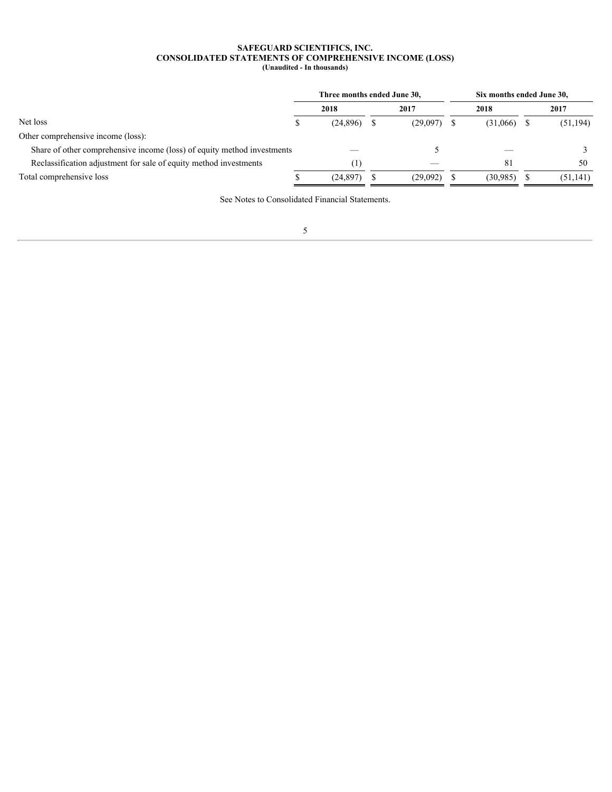#### **SAFEGUARD SCIENTIFICS, INC. CONSOLIDATED STATEMENTS OF COMPREHENSIVE INCOME (LOSS) (Unaudited - In thousands)**

<span id="page-4-0"></span>

|                                                                         | Three months ended June 30, |                   |                                 | Six months ended June 30, |  |  |  |
|-------------------------------------------------------------------------|-----------------------------|-------------------|---------------------------------|---------------------------|--|--|--|
|                                                                         | 2018                        | 2017              | 2018                            | 2017                      |  |  |  |
| Net loss                                                                | $(24,896)$ \$               | $(29,097)$ \$     | (31,066)                        | (51, 194)                 |  |  |  |
| Other comprehensive income (loss):                                      |                             |                   |                                 |                           |  |  |  |
| Share of other comprehensive income (loss) of equity method investments |                             |                   | $\hspace{0.1mm}-\hspace{0.1mm}$ |                           |  |  |  |
| Reclassification adjustment for sale of equity method investments       | (1)                         | $\hspace{0.05cm}$ | 81                              | 50                        |  |  |  |
| Total comprehensive loss                                                | $(24,897)$ \$               | (29,092)          | (30,985)                        | (51, 141)                 |  |  |  |
|                                                                         |                             |                   |                                 |                           |  |  |  |

See Notes to Consolidated Financial Statements.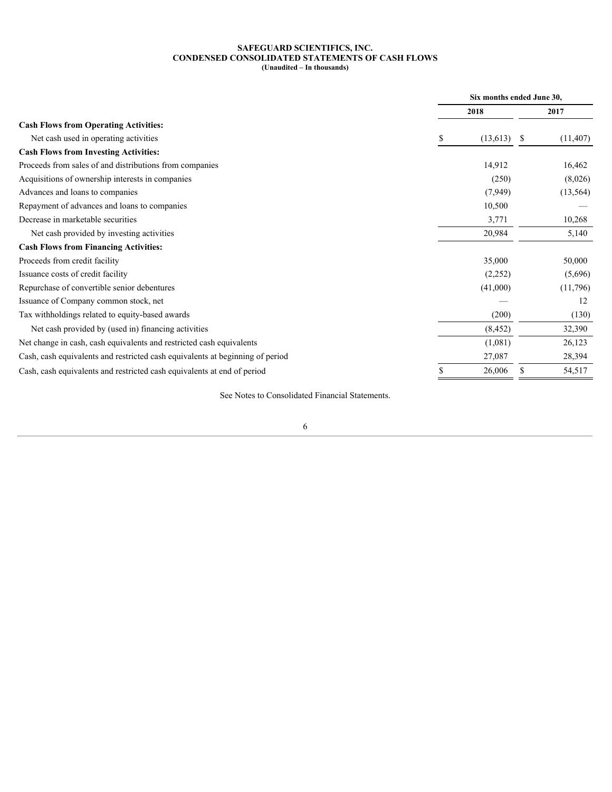#### **SAFEGUARD SCIENTIFICS, INC. CONDENSED CONSOLIDATED STATEMENTS OF CASH FLOWS (Unaudited – In thousands)**

<span id="page-5-0"></span>

|                                                                               |               | Six months ended June 30, |           |
|-------------------------------------------------------------------------------|---------------|---------------------------|-----------|
|                                                                               | 2018          | 2017                      |           |
| <b>Cash Flows from Operating Activities:</b>                                  |               |                           |           |
| Net cash used in operating activities                                         | $(13,613)$ \$ |                           | (11, 407) |
| <b>Cash Flows from Investing Activities:</b>                                  |               |                           |           |
| Proceeds from sales of and distributions from companies                       | 14,912        |                           | 16,462    |
| Acquisitions of ownership interests in companies                              | (250)         |                           | (8,026)   |
| Advances and loans to companies                                               | (7,949)       |                           | (13, 564) |
| Repayment of advances and loans to companies                                  | 10,500        |                           |           |
| Decrease in marketable securities                                             | 3,771         |                           | 10,268    |
| Net cash provided by investing activities                                     | 20,984        |                           | 5,140     |
| <b>Cash Flows from Financing Activities:</b>                                  |               |                           |           |
| Proceeds from credit facility                                                 | 35,000        |                           | 50,000    |
| Issuance costs of credit facility                                             | (2,252)       |                           | (5,696)   |
| Repurchase of convertible senior debentures                                   | (41,000)      |                           | (11,796)  |
| Issuance of Company common stock, net                                         |               |                           | 12        |
| Tax withholdings related to equity-based awards                               | (200)         |                           | (130)     |
| Net cash provided by (used in) financing activities                           | (8, 452)      |                           | 32,390    |
| Net change in cash, cash equivalents and restricted cash equivalents          | (1,081)       |                           | 26,123    |
| Cash, cash equivalents and restricted cash equivalents at beginning of period | 27,087        |                           | 28,394    |
| Cash, cash equivalents and restricted cash equivalents at end of period       | 26,006        |                           | 54,517    |

See Notes to Consolidated Financial Statements.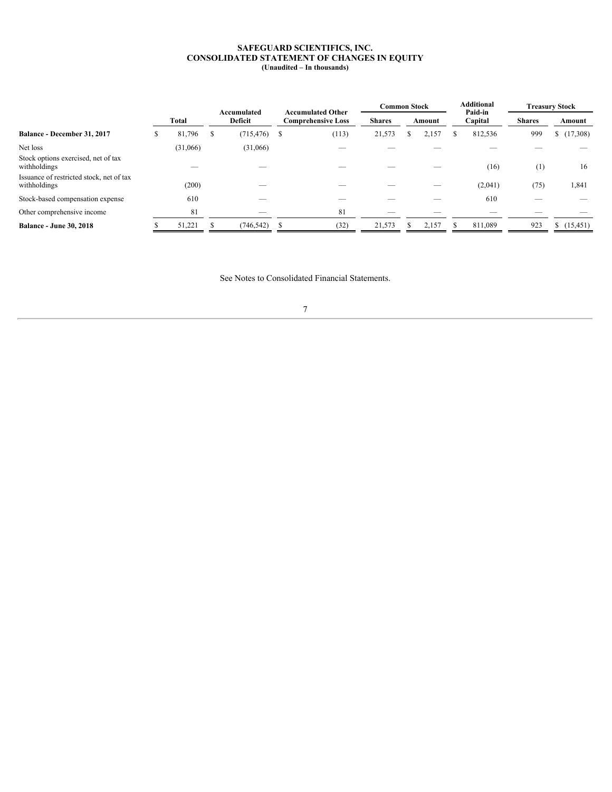#### **SAFEGUARD SCIENTIFICS, INC. CONSOLIDATED STATEMENT OF CHANGES IN EQUITY (Unaudited – In thousands)**

<span id="page-6-0"></span>

|                                                          |  |                                 |                        |  | <b>Accumulated Other</b>        |  | <b>Common Stock</b>                     |  |                          | Additional<br>Paid-in |                                | <b>Treasury Stock</b> |                   |
|----------------------------------------------------------|--|---------------------------------|------------------------|--|---------------------------------|--|-----------------------------------------|--|--------------------------|-----------------------|--------------------------------|-----------------------|-------------------|
|                                                          |  | <b>Total</b>                    | Accumulated<br>Deficit |  | <b>Comprehensive Loss</b>       |  | <b>Shares</b>                           |  | Amount                   |                       | Capital                        | <b>Shares</b>         | Amount            |
| Balance - December 31, 2017                              |  | 81,796                          | $(715, 476)$ \$        |  | (113)                           |  | 21,573                                  |  | 2,157                    |                       | 812,536                        | 999                   | (17,308)          |
| Net loss                                                 |  | (31,066)                        | (31,066)               |  | $\hspace{0.1mm}-\hspace{0.1mm}$ |  | $\overbrace{\phantom{13333}}$           |  | $\hspace{0.05cm}$        |                       | $\overbrace{\hspace{25mm}}^{}$ |                       | $\hspace{0.05cm}$ |
| Stock options exercised, net of tax<br>withholdings      |  | $\hspace{0.1mm}-\hspace{0.1mm}$ | $\hspace{0.05cm}$      |  | $\hspace{0.1mm}-\hspace{0.1mm}$ |  | $\hspace{0.1mm}-\hspace{0.1mm}$         |  | $\overline{\phantom{a}}$ |                       | (16)                           | (1)                   | 16                |
| Issuance of restricted stock, net of tax<br>withholdings |  | (200)                           |                        |  |                                 |  |                                         |  | $\hspace{0.05cm}$        |                       | (2,041)                        | (75)                  | 1,841             |
| Stock-based compensation expense                         |  | 610                             |                        |  |                                 |  | $\overbrace{\phantom{aaaaa}}$           |  | $\hspace{0.05cm}$        |                       | 610                            |                       | $\hspace{0.05cm}$ |
| Other comprehensive income                               |  |                                 |                        |  | 81                              |  | $\hspace{1.0cm} \overline{\phantom{0}}$ |  | $\hspace{0.05cm}$        |                       |                                |                       | $\hspace{0.05cm}$ |
| <b>Balance - June 30, 2018</b>                           |  | 51,221                          | (746, 542)             |  | (32)                            |  | 21,573                                  |  | 2,157                    |                       | 811,089                        | 923                   | (15, 451)         |

See Notes to Consolidated Financial Statements.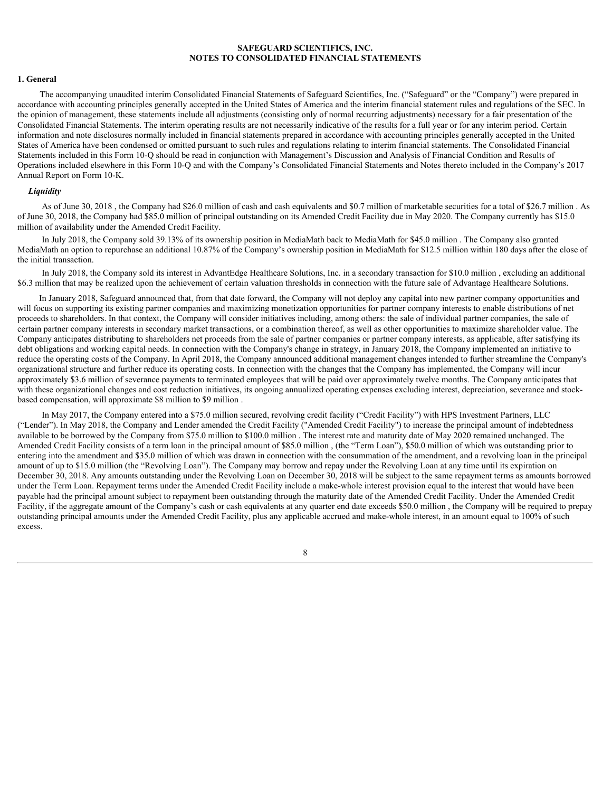#### <span id="page-7-0"></span>**1. General**

The accompanying unaudited interim Consolidated Financial Statements of Safeguard Scientifics, Inc. ("Safeguard" or the "Company") were prepared in accordance with accounting principles generally accepted in the United States of America and the interim financial statement rules and regulations of the SEC. In the opinion of management, these statements include all adjustments (consisting only of normal recurring adjustments) necessary for a fair presentation of the Consolidated Financial Statements. The interim operating results are not necessarily indicative of the results for a full year or for any interim period. Certain information and note disclosures normally included in financial statements prepared in accordance with accounting principles generally accepted in the United States of America have been condensed or omitted pursuant to such rules and regulations relating to interim financial statements. The Consolidated Financial Statements included in this Form 10-Q should be read in conjunction with Management's Discussion and Analysis of Financial Condition and Results of Operations included elsewhere in this Form 10-Q and with the Company's Consolidated Financial Statements and Notes thereto included in the Company's 2017 Annual Report on Form 10-K.

## *Liquidity*

As of June 30, 2018 , the Company had \$26.0 million of cash and cash equivalents and \$0.7 million of marketable securities for a total of \$26.7 million . As of June 30, 2018, the Company had \$85.0 million of principal outstanding on its Amended Credit Facility due in May 2020. The Company currently has \$15.0 million of availability under the Amended Credit Facility.

In July 2018, the Company sold 39.13% of its ownership position in MediaMath back to MediaMath for \$45.0 million . The Company also granted MediaMath an option to repurchase an additional 10.87% of the Company's ownership position in MediaMath for \$12.5 million within 180 days after the close of the initial transaction.

In July 2018, the Company sold its interest in AdvantEdge Healthcare Solutions, Inc. in a secondary transaction for \$10.0 million , excluding an additional \$6.3 million that may be realized upon the achievement of certain valuation thresholds in connection with the future sale of Advantage Healthcare Solutions.

In January 2018, Safeguard announced that, from that date forward, the Company will not deploy any capital into new partner company opportunities and will focus on supporting its existing partner companies and maximizing monetization opportunities for partner company interests to enable distributions of net proceeds to shareholders. In that context, the Company will consider initiatives including, among others: the sale of individual partner companies, the sale of certain partner company interests in secondary market transactions, or a combination thereof, as well as other opportunities to maximize shareholder value. The Company anticipates distributing to shareholders net proceeds from the sale of partner companies or partner company interests, as applicable, after satisfying its debt obligations and working capital needs. In connection with the Company's change in strategy, in January 2018, the Company implemented an initiative to reduce the operating costs of the Company. In April 2018, the Company announced additional management changes intended to further streamline the Company's organizational structure and further reduce its operating costs. In connection with the changes that the Company has implemented, the Company will incur approximately \$3.6 million of severance payments to terminated employees that will be paid over approximately twelve months. The Company anticipates that with these organizational changes and cost reduction initiatives, its ongoing annualized operating expenses excluding interest, depreciation, severance and stockbased compensation, will approximate \$8 million to \$9 million .

In May 2017, the Company entered into a \$75.0 million secured, revolving credit facility ("Credit Facility") with HPS Investment Partners, LLC ("Lender"). In May 2018, the Company and Lender amended the Credit Facility ("Amended Credit Facility") to increase the principal amount of indebtedness available to be borrowed by the Company from \$75.0 million to \$100.0 million . The interest rate and maturity date of May 2020 remained unchanged. The Amended Credit Facility consists of a term loan in the principal amount of \$85.0 million , (the "Term Loan"), \$50.0 million of which was outstanding prior to entering into the amendment and \$35.0 million of which was drawn in connection with the consummation of the amendment, and a revolving loan in the principal amount of up to \$15.0 million (the "Revolving Loan"). The Company may borrow and repay under the Revolving Loan at any time until its expiration on December 30, 2018. Any amounts outstanding under the Revolving Loan on December 30, 2018 will be subject to the same repayment terms as amounts borrowed under the Term Loan. Repayment terms under the Amended Credit Facility include a make-whole interest provision equal to the interest that would have been payable had the principal amount subject to repayment been outstanding through the maturity date of the Amended Credit Facility. Under the Amended Credit Facility, if the aggregate amount of the Company's cash or cash equivalents at any quarter end date exceeds \$50.0 million , the Company will be required to prepay outstanding principal amounts under the Amended Credit Facility, plus any applicable accrued and make-whole interest, in an amount equal to 100% of such excess.

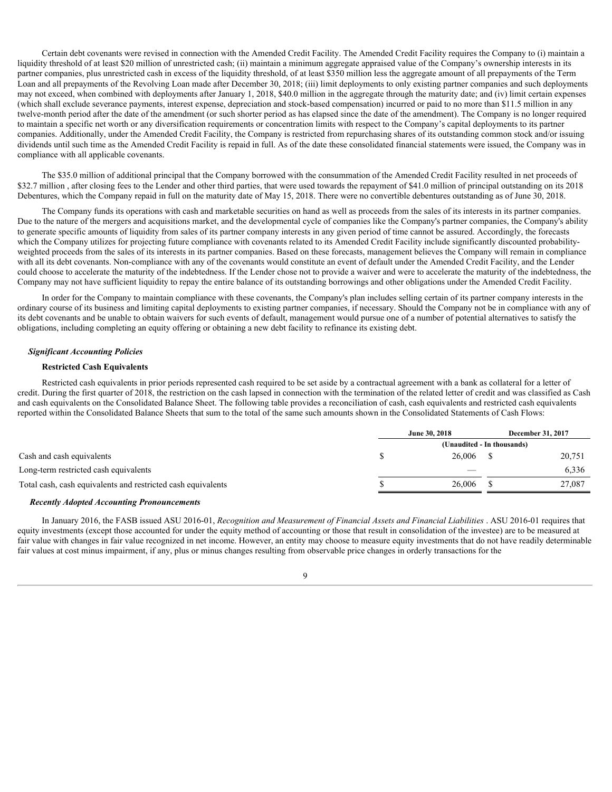Certain debt covenants were revised in connection with the Amended Credit Facility. The Amended Credit Facility requires the Company to (i) maintain a liquidity threshold of at least \$20 million of unrestricted cash; (ii) maintain a minimum aggregate appraised value of the Company's ownership interests in its partner companies, plus unrestricted cash in excess of the liquidity threshold, of at least \$350 million less the aggregate amount of all prepayments of the Term Loan and all prepayments of the Revolving Loan made after December 30, 2018; (iii) limit deployments to only existing partner companies and such deployments may not exceed, when combined with deployments after January 1, 2018, \$40.0 million in the aggregate through the maturity date; and (iv) limit certain expenses (which shall exclude severance payments, interest expense, depreciation and stock-based compensation) incurred or paid to no more than \$11.5 million in any twelve-month period after the date of the amendment (or such shorter period as has elapsed since the date of the amendment). The Company is no longer required to maintain a specific net worth or any diversification requirements or concentration limits with respect to the Company's capital deployments to its partner companies. Additionally, under the Amended Credit Facility, the Company is restricted from repurchasing shares of its outstanding common stock and/or issuing dividends until such time as the Amended Credit Facility is repaid in full. As of the date these consolidated financial statements were issued, the Company was in compliance with all applicable covenants.

The \$35.0 million of additional principal that the Company borrowed with the consummation of the Amended Credit Facility resulted in net proceeds of \$32.7 million, after closing fees to the Lender and other third parties, that were used towards the repayment of \$41.0 million of principal outstanding on its 2018 Debentures, which the Company repaid in full on the maturity date of May 15, 2018. There were no convertible debentures outstanding as of June 30, 2018.

The Company funds its operations with cash and marketable securities on hand as well as proceeds from the sales of its interests in its partner companies. Due to the nature of the mergers and acquisitions market, and the developmental cycle of companies like the Company's partner companies, the Company's ability to generate specific amounts of liquidity from sales of its partner company interests in any given period of time cannot be assured. Accordingly, the forecasts which the Company utilizes for projecting future compliance with covenants related to its Amended Credit Facility include significantly discounted probabilityweighted proceeds from the sales of its interests in its partner companies. Based on these forecasts, management believes the Company will remain in compliance with all its debt covenants. Non-compliance with any of the covenants would constitute an event of default under the Amended Credit Facility, and the Lender could choose to accelerate the maturity of the indebtedness. If the Lender chose not to provide a waiver and were to accelerate the maturity of the indebtedness, the Company may not have sufficient liquidity to repay the entire balance of its outstanding borrowings and other obligations under the Amended Credit Facility.

In order for the Company to maintain compliance with these covenants, the Company's plan includes selling certain of its partner company interests in the ordinary course of its business and limiting capital deployments to existing partner companies, if necessary. Should the Company not be in compliance with any of its debt covenants and be unable to obtain waivers for such events of default, management would pursue one of a number of potential alternatives to satisfy the obligations, including completing an equity offering or obtaining a new debt facility to refinance its existing debt.

## *Significant Accounting Policies*

#### **Restricted Cash Equivalents**

Restricted cash equivalents in prior periods represented cash required to be set aside by a contractual agreement with a bank as collateral for a letter of credit. During the first quarter of 2018, the restriction on the cash lapsed in connection with the termination of the related letter of credit and was classified as Cash and cash equivalents on the Consolidated Balance Sheet. The following table provides a reconciliation of cash, cash equivalents and restricted cash equivalents reported within the Consolidated Balance Sheets that sum to the total of the same such amounts shown in the Consolidated Statements of Cash Flows:

|                                                              | <b>June 30, 2018</b>           | December 31, 2017 |  |
|--------------------------------------------------------------|--------------------------------|-------------------|--|
|                                                              | (Unaudited - In thousands)     |                   |  |
| Cash and cash equivalents                                    | 26,006                         | 20,751            |  |
| Long-term restricted cash equivalents                        | $\overbrace{\hspace{25mm}}^{}$ | 6,336             |  |
| Total cash, cash equivalents and restricted cash equivalents | 26,006                         | 27,087            |  |

#### *Recently Adopted Accounting Pronouncements*

In January 2016, the FASB issued ASU 2016-01, *Recognition and Measurement of Financial Assets and Financial Liabilities* . ASU 2016-01 requires that equity investments (except those accounted for under the equity method of accounting or those that result in consolidation of the investee) are to be measured at fair value with changes in fair value recognized in net income. However, an entity may choose to measure equity investments that do not have readily determinable fair values at cost minus impairment, if any, plus or minus changes resulting from observable price changes in orderly transactions for the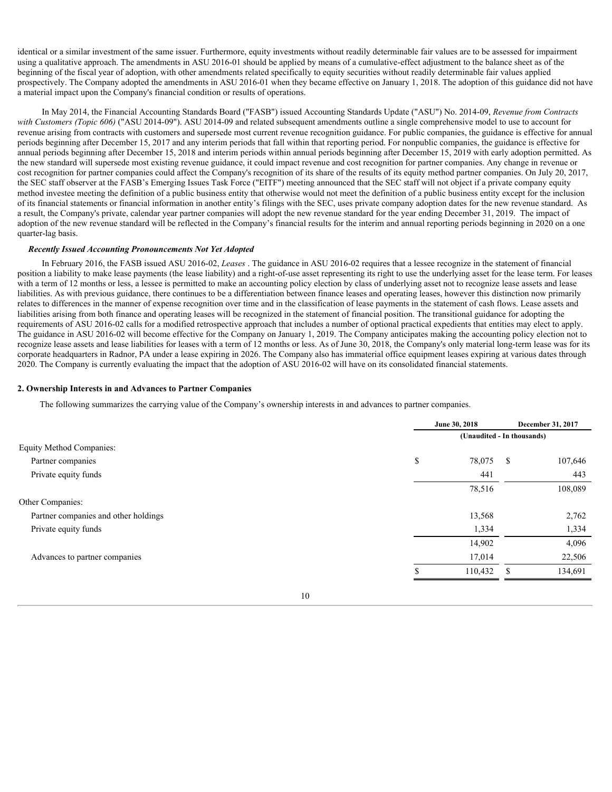identical or a similar investment of the same issuer. Furthermore, equity investments without readily determinable fair values are to be assessed for impairment using a qualitative approach. The amendments in ASU 2016-01 should be applied by means of a cumulative-effect adjustment to the balance sheet as of the beginning of the fiscal year of adoption, with other amendments related specifically to equity securities without readily determinable fair values applied prospectively. The Company adopted the amendments in ASU 2016-01 when they became effective on January 1, 2018. The adoption of this guidance did not have a material impact upon the Company's financial condition or results of operations.

In May 2014, the Financial Accounting Standards Board ("FASB") issued Accounting Standards Update ("ASU") No. 2014-09, *Revenue from Contracts with Customers (Topic 606)* ("ASU 2014-09"). ASU 2014-09 and related subsequent amendments outline a single comprehensive model to use to account for revenue arising from contracts with customers and supersede most current revenue recognition guidance. For public companies, the guidance is effective for annual periods beginning after December 15, 2017 and any interim periods that fall within that reporting period. For nonpublic companies, the guidance is effective for annual periods beginning after December 15, 2018 and interim periods within annual periods beginning after December 15, 2019 with early adoption permitted. As the new standard will supersede most existing revenue guidance, it could impact revenue and cost recognition for partner companies. Any change in revenue or cost recognition for partner companies could affect the Company's recognition of its share of the results of its equity method partner companies. On July 20, 2017, the SEC staff observer at the FASB's Emerging Issues Task Force ("EITF") meeting announced that the SEC staff will not object if a private company equity method investee meeting the definition of a public business entity that otherwise would not meet the definition of a public business entity except for the inclusion of its financial statements or financial information in another entity's filings with the SEC, uses private company adoption dates for the new revenue standard. As a result, the Company's private, calendar year partner companies will adopt the new revenue standard for the year ending December 31, 2019. The impact of adoption of the new revenue standard will be reflected in the Company's financial results for the interim and annual reporting periods beginning in 2020 on a one quarter-lag basis.

## *Recently Issued Accounting Pronouncements Not Yet Adopted*

In February 2016, the FASB issued ASU 2016-02, *Leases* . The guidance in ASU 2016-02 requires that a lessee recognize in the statement of financial position a liability to make lease payments (the lease liability) and a right-of-use asset representing its right to use the underlying asset for the lease term. For leases with a term of 12 months or less, a lessee is permitted to make an accounting policy election by class of underlying asset not to recognize lease assets and lease liabilities. As with previous guidance, there continues to be a differentiation between finance leases and operating leases, however this distinction now primarily relates to differences in the manner of expense recognition over time and in the classification of lease payments in the statement of cash flows. Lease assets and liabilities arising from both finance and operating leases will be recognized in the statement of financial position. The transitional guidance for adopting the requirements of ASU 2016-02 calls for a modified retrospective approach that includes a number of optional practical expedients that entities may elect to apply. The guidance in ASU 2016-02 will become effective for the Company on January 1, 2019. The Company anticipates making the accounting policy election not to recognize lease assets and lease liabilities for leases with a term of 12 months or less. As of June 30, 2018, the Company's only material long-term lease was for its corporate headquarters in Radnor, PA under a lease expiring in 2026. The Company also has immaterial office equipment leases expiring at various dates through 2020. The Company is currently evaluating the impact that the adoption of ASU 2016-02 will have on its consolidated financial statements.

#### **2. Ownership Interests in and Advances to Partner Companies**

The following summarizes the carrying value of the Company's ownership interests in and advances to partner companies.

|               |        | December 31, 2017 |                                       |  |  |  |
|---------------|--------|-------------------|---------------------------------------|--|--|--|
|               |        |                   |                                       |  |  |  |
|               |        |                   |                                       |  |  |  |
| <sup>\$</sup> | 78,075 | - \$              | 107,646                               |  |  |  |
|               | 441    |                   | 443                                   |  |  |  |
|               | 78,516 |                   | 108,089                               |  |  |  |
|               |        |                   |                                       |  |  |  |
|               | 13,568 |                   | 2,762                                 |  |  |  |
|               | 1,334  |                   | 1,334                                 |  |  |  |
|               | 14,902 |                   | 4,096                                 |  |  |  |
|               | 17,014 |                   | 22,506                                |  |  |  |
|               |        | - S               | 134,691                               |  |  |  |
|               |        | June 30, 2018     | (Unaudited - In thousands)<br>110,432 |  |  |  |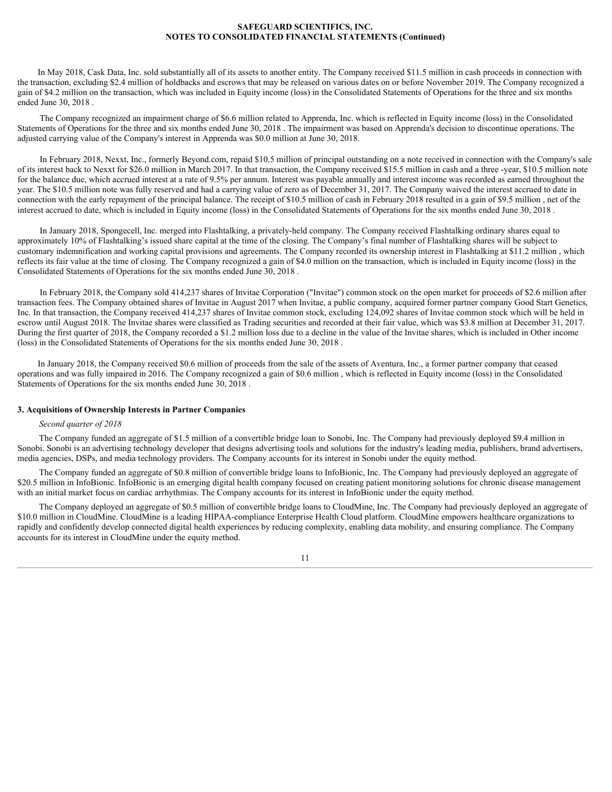In May 2018, Cask Data, Inc. sold substantially all of its assets to another entity. The Company received \$11.5 million in cash proceeds in connection with the transaction, excluding \$2.4 million of holdbacks and escrows that may be released on various dates on or before November 2019. The Company recognized a gain of \$4.2 million on the transaction, which was included in Equity income (loss) in the Consolidated Statements of Operations for the three and six months ended June 30, 2018 .

The Company recognized an impairment charge of \$6.6 million related to Apprenda, Inc. which is reflected in Equity income (loss) in the Consolidated Statements of Operations for the three and six months ended June 30, 2018 . The impairment was based on Apprenda's decision to discontinue operations. The adjusted carrying value of the Company's interest in Apprenda was \$0.0 million at June 30, 2018.

In February 2018, Nexxt, Inc., formerly Beyond.com, repaid \$10.5 million of principal outstanding on a note received in connection with the Company's sale of its interest back to Nexxt for \$26.0 million in March 2017. In that transaction, the Company received \$15.5 million in cash and a three -year, \$10.5 million note for the balance due, which accrued interest at a rate of 9.5% per annum. Interest was payable annually and interest income was recorded as earned throughout the year. The \$10.5 million note was fully reserved and had a carrying value of zero as of December 31, 2017. The Company waived the interest accrued to date in connection with the early repayment of the principal balance. The receipt of \$10.5 million of cash in February 2018 resulted in a gain of \$9.5 million , net of the interest accrued to date, which is included in Equity income (loss) in the Consolidated Statements of Operations for the six months ended June 30, 2018 .

In January 2018, Spongecell, Inc. merged into Flashtalking, a privately-held company. The Company received Flashtalking ordinary shares equal to approximately 10% of Flashtalking's issued share capital at the time of the closing. The Company's final number of Flashtalking shares will be subject to customary indemnification and working capital provisions and agreements. The Company recorded its ownership interest in Flashtalking at \$11.2 million , which reflects its fair value at the time of closing. The Company recognized a gain of \$4.0 million on the transaction, which is included in Equity income (loss) in the Consolidated Statements of Operations for the six months ended June 30, 2018 .

In February 2018, the Company sold 414,237 shares of Invitae Corporation ("Invitae") common stock on the open market for proceeds of \$2.6 million after transaction fees. The Company obtained shares of Invitae in August 2017 when Invitae, a public company, acquired former partner company Good Start Genetics, Inc. In that transaction, the Company received 414,237 shares of Invitae common stock, excluding 124,092 shares of Invitae common stock which will be held in escrow until August 2018. The Invitae shares were classified as Trading securities and recorded at their fair value, which was \$3.8 million at December 31, 2017. During the first quarter of 2018, the Company recorded a \$1.2 million loss due to a decline in the value of the Invitae shares, which is included in Other income (loss) in the Consolidated Statements of Operations for the six months ended June 30, 2018 .

In January 2018, the Company received \$0.6 million of proceeds from the sale of the assets of Aventura, Inc., a former partner company that ceased operations and was fully impaired in 2016. The Company recognized a gain of \$0.6 million , which is reflected in Equity income (loss) in the Consolidated Statements of Operations for the six months ended June 30, 2018 .

#### **3. Acquisitions of Ownership Interests in Partner Companies**

#### *Second quarter of 2018*

The Company funded an aggregate of \$1.5 million of a convertible bridge loan to Sonobi, Inc. The Company had previously deployed \$9.4 million in Sonobi. Sonobi is an advertising technology developer that designs advertising tools and solutions for the industry's leading media, publishers, brand advertisers, media agencies, DSPs, and media technology providers. The Company accounts for its interest in Sonobi under the equity method.

The Company funded an aggregate of \$0.8 million of convertible bridge loans to InfoBionic, Inc. The Company had previously deployed an aggregate of \$20.5 million in InfoBionic. InfoBionic is an emerging digital health company focused on creating patient monitoring solutions for chronic disease management with an initial market focus on cardiac arrhythmias. The Company accounts for its interest in InfoBionic under the equity method.

The Company deployed an aggregate of \$0.5 million of convertible bridge loans to CloudMine, Inc. The Company had previously deployed an aggregate of \$10.0 million in CloudMine. CloudMine is a leading HIPAA-compliance Enterprise Health Cloud platform. CloudMine empowers healthcare organizations to rapidly and confidently develop connected digital health experiences by reducing complexity, enabling data mobility, and ensuring compliance. The Company accounts for its interest in CloudMine under the equity method.

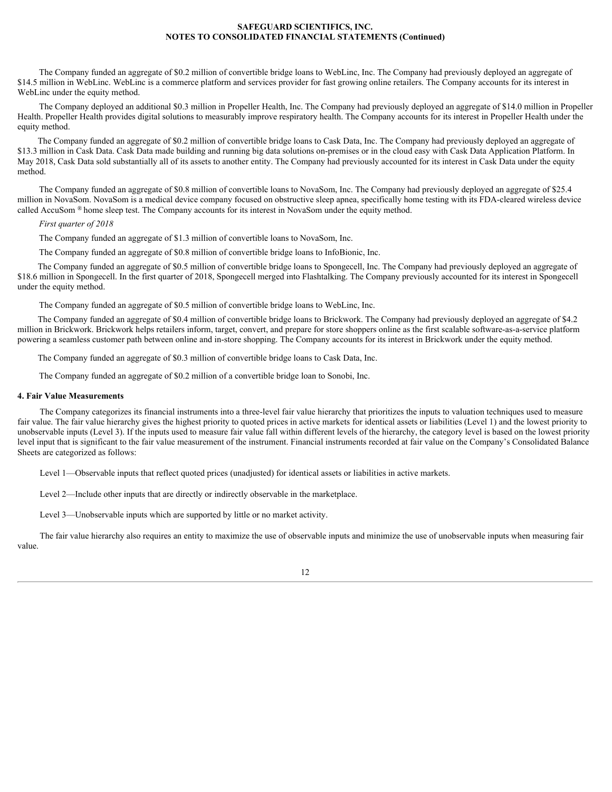The Company funded an aggregate of \$0.2 million of convertible bridge loans to WebLinc, Inc. The Company had previously deployed an aggregate of \$14.5 million in WebLinc. WebLinc is a commerce platform and services provider for fast growing online retailers. The Company accounts for its interest in WebLinc under the equity method.

The Company deployed an additional \$0.3 million in Propeller Health, Inc. The Company had previously deployed an aggregate of \$14.0 million in Propeller Health. Propeller Health provides digital solutions to measurably improve respiratory health. The Company accounts for its interest in Propeller Health under the equity method.

The Company funded an aggregate of \$0.2 million of convertible bridge loans to Cask Data, Inc. The Company had previously deployed an aggregate of \$13.3 million in Cask Data. Cask Data made building and running big data solutions on-premises or in the cloud easy with Cask Data Application Platform. In May 2018, Cask Data sold substantially all of its assets to another entity. The Company had previously accounted for its interest in Cask Data under the equity method.

The Company funded an aggregate of \$0.8 million of convertible loans to NovaSom, Inc. The Company had previously deployed an aggregate of \$25.4 million in NovaSom. NovaSom is a medical device company focused on obstructive sleep apnea, specifically home testing with its FDA-cleared wireless device called AccuSom <sup>®</sup> home sleep test. The Company accounts for its interest in NovaSom under the equity method.

#### *First quarter of 2018*

The Company funded an aggregate of \$1.3 million of convertible loans to NovaSom, Inc.

The Company funded an aggregate of \$0.8 million of convertible bridge loans to InfoBionic, Inc.

The Company funded an aggregate of \$0.5 million of convertible bridge loans to Spongecell, Inc. The Company had previously deployed an aggregate of \$18.6 million in Spongecell. In the first quarter of 2018, Spongecell merged into Flashtalking. The Company previously accounted for its interest in Spongecell under the equity method.

The Company funded an aggregate of \$0.5 million of convertible bridge loans to WebLinc, Inc.

The Company funded an aggregate of \$0.4 million of convertible bridge loans to Brickwork. The Company had previously deployed an aggregate of \$4.2 million in Brickwork. Brickwork helps retailers inform, target, convert, and prepare for store shoppers online as the first scalable software-as-a-service platform powering a seamless customer path between online and in-store shopping. The Company accounts for its interest in Brickwork under the equity method.

The Company funded an aggregate of \$0.3 million of convertible bridge loans to Cask Data, Inc.

The Company funded an aggregate of \$0.2 million of a convertible bridge loan to Sonobi, Inc.

#### **4. Fair Value Measurements**

The Company categorizes its financial instruments into a three-level fair value hierarchy that prioritizes the inputs to valuation techniques used to measure fair value. The fair value hierarchy gives the highest priority to quoted prices in active markets for identical assets or liabilities (Level 1) and the lowest priority to unobservable inputs (Level 3). If the inputs used to measure fair value fall within different levels of the hierarchy, the category level is based on the lowest priority level input that is significant to the fair value measurement of the instrument. Financial instruments recorded at fair value on the Company's Consolidated Balance Sheets are categorized as follows:

Level 1—Observable inputs that reflect quoted prices (unadjusted) for identical assets or liabilities in active markets.

Level 2—Include other inputs that are directly or indirectly observable in the marketplace.

Level 3—Unobservable inputs which are supported by little or no market activity.

The fair value hierarchy also requires an entity to maximize the use of observable inputs and minimize the use of unobservable inputs when measuring fair value.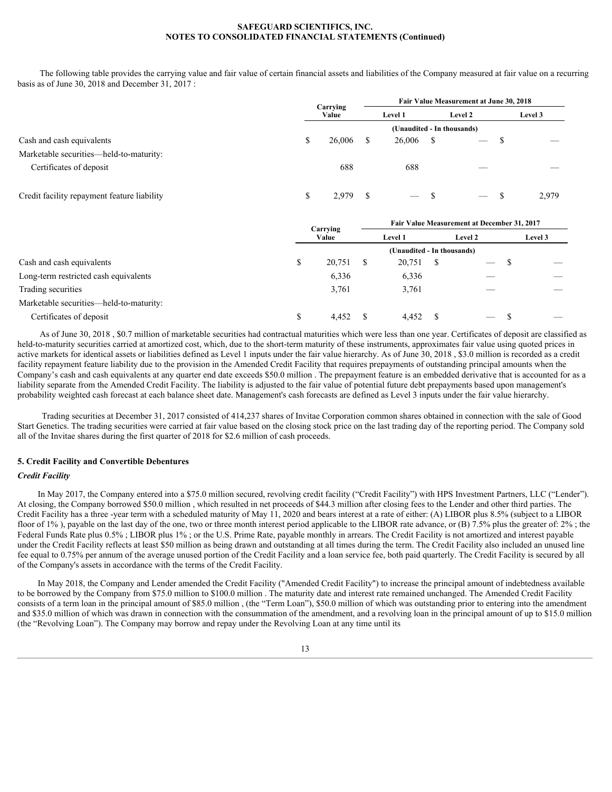The following table provides the carrying value and fair value of certain financial assets and liabilities of the Company measured at fair value on a recurring basis as of June 30, 2018 and December 31, 2017 :

|                                             | Carrying    |           | Fair Value Measurement at June 30, 2018     |  |                                 |  |
|---------------------------------------------|-------------|-----------|---------------------------------------------|--|---------------------------------|--|
|                                             | Value       | Level 1   | Level 2                                     |  | Level 3                         |  |
|                                             |             |           | (Unaudited - In thousands)                  |  |                                 |  |
| Cash and cash equivalents                   | $26,006$ \$ | 26,006 \$ |                                             |  | $\hspace{0.1mm}-\hspace{0.1mm}$ |  |
| Marketable securities-held-to-maturity:     |             |           |                                             |  |                                 |  |
| Certificates of deposit                     | 688         | 688       | $\overbrace{\hspace{25mm}}^{}$              |  | $\hspace{0.1mm}-\hspace{0.1mm}$ |  |
| Credit facility repayment feature liability | $2,979$ \$  | $-$ S     | $\overline{\phantom{a}}$                    |  | 2,979                           |  |
|                                             |             |           |                                             |  |                                 |  |
|                                             |             |           | Fair Value Measurement at December 31, 2017 |  |                                 |  |

As of June 30, 2018 , \$0.7 million of marketable securities had contractual maturities which were less than one year. Certificates of deposit are classified as held-to-maturity securities carried at amortized cost, which, due to the short-term maturity of these instruments, approximates fair value using quoted prices in active markets for identical assets or liabilities defined as Level 1 inputs under the fair value hierarchy. As of June 30, 2018 , \$3.0 million is recorded as a credit facility repayment feature liability due to the provision in the Amended Credit Facility that requires prepayments of outstanding principal amounts when the Company's cash and cash equivalents at any quarter end date exceeds \$50.0 million . The prepayment feature is an embedded derivative that is accounted for as a liability separate from the Amended Credit Facility. The liability is adjusted to the fair value of potential future debt prepayments based upon management's probability weighted cash forecast at each balance sheet date. Management's cash forecasts are defined as Level 3 inputs under the fair value hierarchy.

Trading securities at December 31, 2017 consisted of 414,237 shares of Invitae Corporation common shares obtained in connection with the sale of Good Start Genetics. The trading securities were carried at fair value based on the closing stock price on the last trading day of the reporting period. The Company sold all of the Invitae shares during the first quarter of 2018 for \$2.6 million of cash proceeds.

## **5. Credit Facility and Convertible Debentures**

## *Credit Facility*

In May 2017, the Company entered into a \$75.0 million secured, revolving credit facility ("Credit Facility") with HPS Investment Partners, LLC ("Lender"). At closing, the Company borrowed \$50.0 million , which resulted in net proceeds of \$44.3 million after closing fees to the Lender and other third parties. The Credit Facility has a three -year term with a scheduled maturity of May 11, 2020 and bears interest at a rate of either: (A) LIBOR plus 8.5% (subject to a LIBOR floor of 1%), payable on the last day of the one, two or three month interest period applicable to the LIBOR rate advance, or (B) 7.5% plus the greater of: 2%; the Federal Funds Rate plus 0.5%; LIBOR plus 1%; or the U.S. Prime Rate, payable monthly in arrears. The Credit Facility is not amortized and interest payable under the Credit Facility reflects at least \$50 million as being drawn and outstanding at all times during the term. The Credit Facility also included an unused line fee equal to 0.75% per annum of the average unused portion of the Credit Facility and a loan service fee, both paid quarterly. The Credit Facility is secured by all of the Company's assets in accordance with the terms of the Credit Facility.

In May 2018, the Company and Lender amended the Credit Facility ("Amended Credit Facility") to increase the principal amount of indebtedness available to be borrowed by the Company from \$75.0 million to \$100.0 million . The maturity date and interest rate remained unchanged. The Amended Credit Facility consists of a term loan in the principal amount of \$85.0 million , (the "Term Loan"), \$50.0 million of which was outstanding prior to entering into the amendment and \$35.0 million of which was drawn in connection with the consummation of the amendment, and a revolving loan in the principal amount of up to \$15.0 million (the "Revolving Loan"). The Company may borrow and repay under the Revolving Loan at any time until its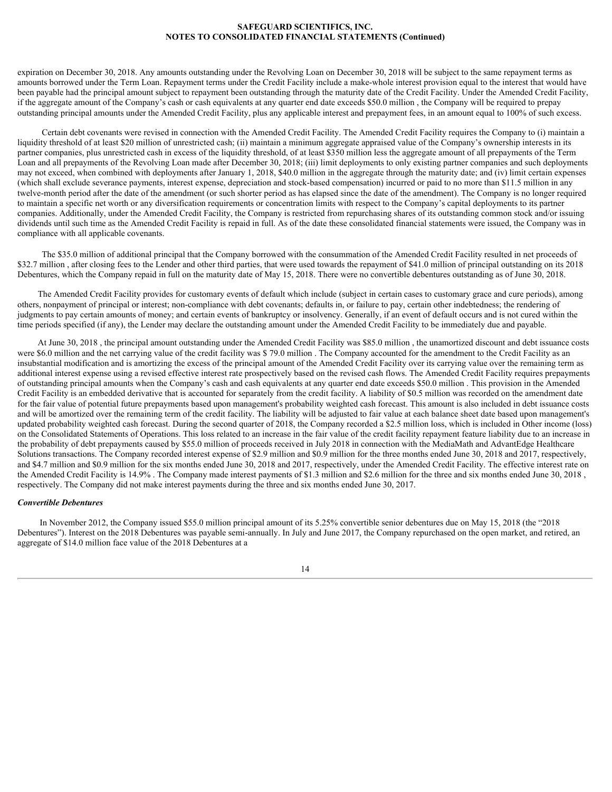expiration on December 30, 2018. Any amounts outstanding under the Revolving Loan on December 30, 2018 will be subject to the same repayment terms as amounts borrowed under the Term Loan. Repayment terms under the Credit Facility include a make-whole interest provision equal to the interest that would have been payable had the principal amount subject to repayment been outstanding through the maturity date of the Credit Facility. Under the Amended Credit Facility, if the aggregate amount of the Company's cash or cash equivalents at any quarter end date exceeds \$50.0 million , the Company will be required to prepay outstanding principal amounts under the Amended Credit Facility, plus any applicable interest and prepayment fees, in an amount equal to 100% of such excess.

Certain debt covenants were revised in connection with the Amended Credit Facility. The Amended Credit Facility requires the Company to (i) maintain a liquidity threshold of at least \$20 million of unrestricted cash; (ii) maintain a minimum aggregate appraised value of the Company's ownership interests in its partner companies, plus unrestricted cash in excess of the liquidity threshold, of at least \$350 million less the aggregate amount of all prepayments of the Term Loan and all prepayments of the Revolving Loan made after December 30, 2018; (iii) limit deployments to only existing partner companies and such deployments may not exceed, when combined with deployments after January 1, 2018, \$40.0 million in the aggregate through the maturity date; and (iv) limit certain expenses (which shall exclude severance payments, interest expense, depreciation and stock-based compensation) incurred or paid to no more than \$11.5 million in any twelve-month period after the date of the amendment (or such shorter period as has elapsed since the date of the amendment). The Company is no longer required to maintain a specific net worth or any diversification requirements or concentration limits with respect to the Company's capital deployments to its partner companies. Additionally, under the Amended Credit Facility, the Company is restricted from repurchasing shares of its outstanding common stock and/or issuing dividends until such time as the Amended Credit Facility is repaid in full. As of the date these consolidated financial statements were issued, the Company was in compliance with all applicable covenants.

The \$35.0 million of additional principal that the Company borrowed with the consummation of the Amended Credit Facility resulted in net proceeds of \$32.7 million, after closing fees to the Lender and other third parties, that were used towards the repayment of \$41.0 million of principal outstanding on its 2018 Debentures, which the Company repaid in full on the maturity date of May 15, 2018. There were no convertible debentures outstanding as of June 30, 2018.

The Amended Credit Facility provides for customary events of default which include (subject in certain cases to customary grace and cure periods), among others, nonpayment of principal or interest; non-compliance with debt covenants; defaults in, or failure to pay, certain other indebtedness; the rendering of judgments to pay certain amounts of money; and certain events of bankruptcy or insolvency. Generally, if an event of default occurs and is not cured within the time periods specified (if any), the Lender may declare the outstanding amount under the Amended Credit Facility to be immediately due and payable.

At June 30, 2018 , the principal amount outstanding under the Amended Credit Facility was \$85.0 million , the unamortized discount and debt issuance costs were \$6.0 million and the net carrying value of the credit facility was \$79.0 million. The Company accounted for the amendment to the Credit Facility as an insubstantial modification and is amortizing the excess of the principal amount of the Amended Credit Facility over its carrying value over the remaining term as additional interest expense using a revised effective interest rate prospectively based on the revised cash flows. The Amended Credit Facility requires prepayments of outstanding principal amounts when the Company's cash and cash equivalents at any quarter end date exceeds \$50.0 million . This provision in the Amended Credit Facility is an embedded derivative that is accounted for separately from the credit facility. A liability of \$0.5 million was recorded on the amendment date for the fair value of potential future prepayments based upon management's probability weighted cash forecast. This amount is also included in debt issuance costs and will be amortized over the remaining term of the credit facility. The liability will be adjusted to fair value at each balance sheet date based upon management's updated probability weighted cash forecast. During the second quarter of 2018, the Company recorded a \$2.5 million loss, which is included in Other income (loss) on the Consolidated Statements of Operations. This loss related to an increase in the fair value of the credit facility repayment feature liability due to an increase in the probability of debt prepayments caused by \$55.0 million of proceeds received in July 2018 in connection with the MediaMath and AdvantEdge Healthcare Solutions transactions. The Company recorded interest expense of \$2.9 million and \$0.9 million for the three months ended June 30, 2018 and 2017, respectively, and \$4.7 million and \$0.9 million for the six months ended June 30, 2018 and 2017, respectively, under the Amended Credit Facility. The effective interest rate on the Amended Credit Facility is 14.9% . The Company made interest payments of \$1.3 million and \$2.6 million for the three and six months ended June 30, 2018 , respectively. The Company did not make interest payments during the three and six months ended June 30, 2017.

## *Convertible Debentures*

In November 2012, the Company issued \$55.0 million principal amount of its 5.25% convertible senior debentures due on May 15, 2018 (the "2018 Debentures"). Interest on the 2018 Debentures was payable semi-annually. In July and June 2017, the Company repurchased on the open market, and retired, an aggregate of \$14.0 million face value of the 2018 Debentures at a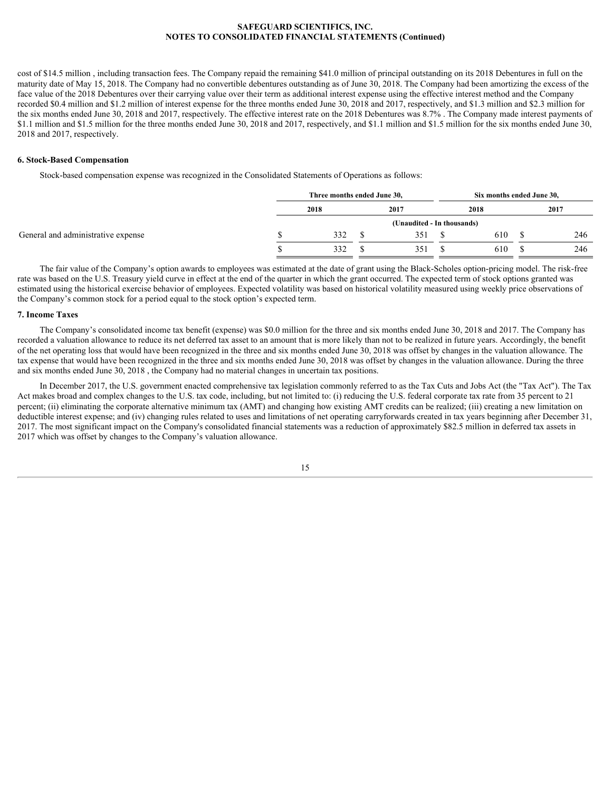cost of \$14.5 million , including transaction fees. The Company repaid the remaining \$41.0 million of principal outstanding on its 2018 Debentures in full on the maturity date of May 15, 2018. The Company had no convertible debentures outstanding as of June 30, 2018. The Company had been amortizing the excess of the face value of the 2018 Debentures over their carrying value over their term as additional interest expense using the effective interest method and the Company recorded \$0.4 million and \$1.2 million of interest expense for the three months ended June 30, 2018 and 2017, respectively, and \$1.3 million and \$2.3 million for the six months ended June 30, 2018 and 2017, respectively. The effective interest rate on the 2018 Debentures was 8.7% . The Company made interest payments of \$1.1 million and \$1.5 million for the three months ended June 30, 2018 and 2017, respectively, and \$1.1 million and \$1.5 million for the six months ended June 30, 2018 and 2017, respectively.

#### **6. Stock-Based Compensation**

Stock-based compensation expense was recognized in the Consolidated Statements of Operations as follows:

|                                    | Three months ended June 30, |                            | Six months ended June 30, |      |  |      |  |  |  |
|------------------------------------|-----------------------------|----------------------------|---------------------------|------|--|------|--|--|--|
|                                    | 2018                        | 2017                       |                           | 2018 |  | 2017 |  |  |  |
|                                    |                             | (Unaudited - In thousands) |                           |      |  |      |  |  |  |
| General and administrative expense | 332                         | 351                        |                           | 610  |  | 246  |  |  |  |
|                                    | 332                         | 351                        |                           | 610  |  | 246  |  |  |  |

The fair value of the Company's option awards to employees was estimated at the date of grant using the Black-Scholes option-pricing model. The risk-free rate was based on the U.S. Treasury yield curve in effect at the end of the quarter in which the grant occurred. The expected term of stock options granted was estimated using the historical exercise behavior of employees. Expected volatility was based on historical volatility measured using weekly price observations of the Company's common stock for a period equal to the stock option's expected term.

#### **7. Income Taxes**

The Company's consolidated income tax benefit (expense) was \$0.0 million for the three and six months ended June 30, 2018 and 2017. The Company has recorded a valuation allowance to reduce its net deferred tax asset to an amount that is more likely than not to be realized in future years. Accordingly, the benefit of the net operating loss that would have been recognized in the three and six months ended June 30, 2018 was offset by changes in the valuation allowance. The tax expense that would have been recognized in the three and six months ended June 30, 2018 was offset by changes in the valuation allowance. During the three and six months ended June 30, 2018 , the Company had no material changes in uncertain tax positions.

In December 2017, the U.S. government enacted comprehensive tax legislation commonly referred to as the Tax Cuts and Jobs Act (the "Tax Act"). The Tax Act makes broad and complex changes to the U.S. tax code, including, but not limited to: (i) reducing the U.S. federal corporate tax rate from 35 percent to 21 percent; (ii) eliminating the corporate alternative minimum tax (AMT) and changing how existing AMT credits can be realized; (iii) creating a new limitation on deductible interest expense; and (iv) changing rules related to uses and limitations of net operating carryforwards created in tax years beginning after December 31, 2017. The most significant impact on the Company's consolidated financial statements was a reduction of approximately \$82.5 million in deferred tax assets in 2017 which was offset by changes to the Company's valuation allowance.

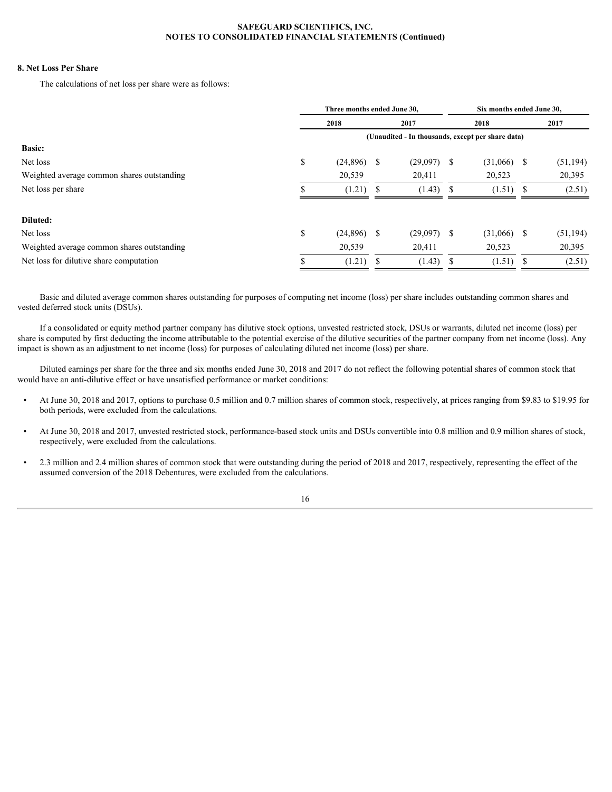## **8. Net Loss Per Share**

The calculations of net loss per share were as follows:

|                                            |                                                   | Three months ended June 30, |  |               |  | Six months ended June 30, |  |           |  |
|--------------------------------------------|---------------------------------------------------|-----------------------------|--|---------------|--|---------------------------|--|-----------|--|
|                                            |                                                   | 2018                        |  | 2017          |  | 2018                      |  | 2017      |  |
|                                            | (Unaudited - In thousands, except per share data) |                             |  |               |  |                           |  |           |  |
| <b>Basic:</b>                              |                                                   |                             |  |               |  |                           |  |           |  |
| Net loss                                   |                                                   | $(24,896)$ \$               |  | $(29,097)$ \$ |  | $(31,066)$ \$             |  | (51, 194) |  |
| Weighted average common shares outstanding |                                                   | 20,539                      |  | 20,411        |  | 20,523                    |  | 20,395    |  |
| Net loss per share                         |                                                   | (1.21)                      |  | $(1.43)$ \$   |  | $(1.51)$ \$               |  | (2.51)    |  |
| Diluted:                                   |                                                   |                             |  |               |  |                           |  |           |  |
| Net loss                                   |                                                   | $(24,896)$ \$               |  | $(29,097)$ \$ |  | $(31,066)$ \$             |  | (51, 194) |  |
| Weighted average common shares outstanding |                                                   | 20,539                      |  | 20,411        |  | 20,523                    |  | 20,395    |  |
| Net loss for dilutive share computation    |                                                   | (1.21)                      |  | $(1.43)$ \$   |  | $(1.51)$ \$               |  | (2.51)    |  |
|                                            |                                                   |                             |  |               |  |                           |  |           |  |

Basic and diluted average common shares outstanding for purposes of computing net income (loss) per share includes outstanding common shares and vested deferred stock units (DSUs).

If a consolidated or equity method partner company has dilutive stock options, unvested restricted stock, DSUs or warrants, diluted net income (loss) per share is computed by first deducting the income attributable to the potential exercise of the dilutive securities of the partner company from net income (loss). Any impact is shown as an adjustment to net income (loss) for purposes of calculating diluted net income (loss) per share.

Diluted earnings per share for the three and six months ended June 30, 2018 and 2017 do not reflect the following potential shares of common stock that would have an anti-dilutive effect or have unsatisfied performance or market conditions:

- At June 30, 2018 and 2017, options to purchase 0.5 million and 0.7 million shares of common stock, respectively, at prices ranging from \$9.83 to \$19.95 for both periods, were excluded from the calculations.
- At June 30, 2018 and 2017, unvested restricted stock, performance-based stock units and DSUs convertible into 0.8 million and 0.9 million shares of stock, respectively, were excluded from the calculations.
- 2.3 million and 2.4 million shares of common stock that were outstanding during the period of 2018 and 2017, respectively, representing the effect of the assumed conversion of the 2018 Debentures, were excluded from the calculations.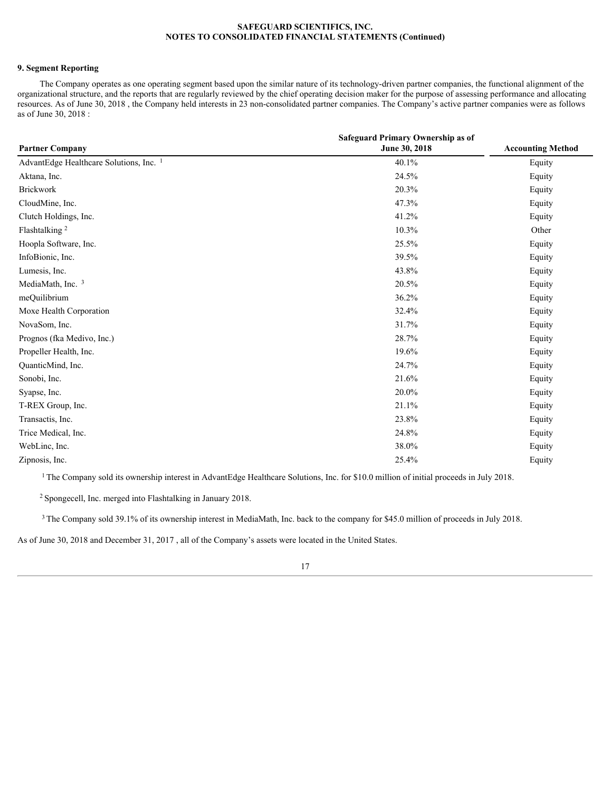## **9. Segment Reporting**

The Company operates as one operating segment based upon the similar nature of its technology-driven partner companies, the functional alignment of the organizational structure, and the reports that are regularly reviewed by the chief operating decision maker for the purpose of assessing performance and allocating resources. As of June 30, 2018 , the Company held interests in 23 non-consolidated partner companies. The Company's active partner companies were as follows as of June 30, 2018 :

|                                                    | <b>Safeguard Primary Ownership as of</b> |                          |
|----------------------------------------------------|------------------------------------------|--------------------------|
| <b>Partner Company</b>                             | June 30, 2018                            | <b>Accounting Method</b> |
| AdvantEdge Healthcare Solutions, Inc. <sup>1</sup> | 40.1%                                    | Equity                   |
| Aktana, Inc.                                       | 24.5%                                    | Equity                   |
| Brickwork                                          | 20.3%                                    | Equity                   |
| CloudMine, Inc.                                    | 47.3%                                    | Equity                   |
| Clutch Holdings, Inc.                              | 41.2%                                    | Equity                   |
| Flashtalking <sup>2</sup>                          | 10.3%                                    | Other                    |
| Hoopla Software, Inc.                              | 25.5%                                    | Equity                   |
| InfoBionic, Inc.                                   | 39.5%                                    | Equity                   |
| Lumesis, Inc.                                      | 43.8%                                    | Equity                   |
| MediaMath, Inc. 3                                  | 20.5%                                    | Equity                   |
| meQuilibrium                                       | 36.2%                                    | Equity                   |
| Moxe Health Corporation                            | 32.4%                                    | Equity                   |
| NovaSom, Inc.                                      | 31.7%                                    | Equity                   |
| Prognos (fka Medivo, Inc.)                         | 28.7%                                    | Equity                   |
| Propeller Health, Inc.                             | 19.6%                                    | Equity                   |
| QuanticMind, Inc.                                  | 24.7%                                    | Equity                   |
| Sonobi, Inc.                                       | 21.6%                                    | Equity                   |
| Syapse, Inc.                                       | 20.0%                                    | Equity                   |
| T-REX Group, Inc.                                  | 21.1%                                    | Equity                   |
| Transactis, Inc.                                   | 23.8%                                    | Equity                   |
| Trice Medical, Inc.                                | 24.8%                                    | Equity                   |
| WebLinc, Inc.                                      | 38.0%                                    | Equity                   |
| Zipnosis, Inc.                                     | 25.4%                                    | Equity                   |
|                                                    |                                          |                          |

<sup>1</sup>The Company sold its ownership interest in AdvantEdge Healthcare Solutions, Inc. for \$10.0 million of initial proceeds in July 2018.

<sup>2</sup>Spongecell, Inc. merged into Flashtalking in January 2018.

<sup>3</sup>The Company sold 39.1% of its ownership interest in MediaMath, Inc. back to the company for \$45.0 million of proceeds in July 2018.

As of June 30, 2018 and December 31, 2017 , all of the Company's assets were located in the United States.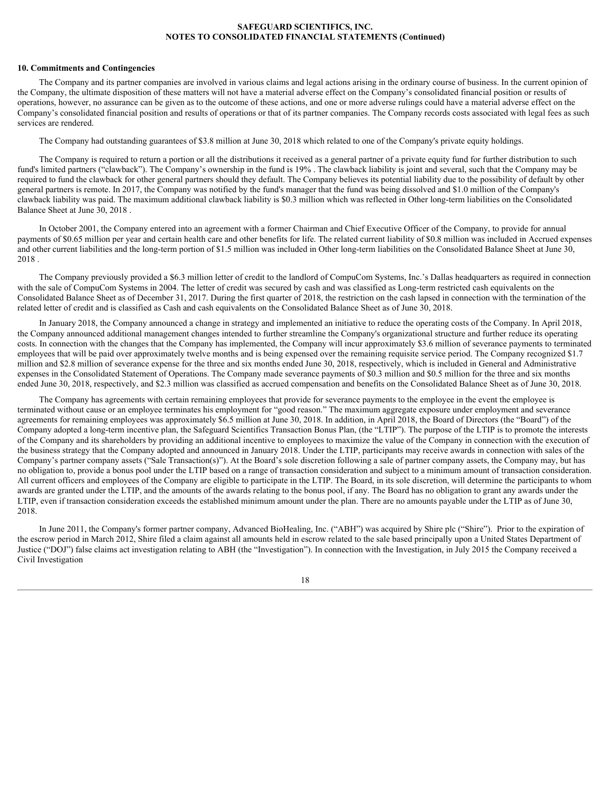#### **10. Commitments and Contingencies**

The Company and its partner companies are involved in various claims and legal actions arising in the ordinary course of business. In the current opinion of the Company, the ultimate disposition of these matters will not have a material adverse effect on the Company's consolidated financial position or results of operations, however, no assurance can be given as to the outcome of these actions, and one or more adverse rulings could have a material adverse effect on the Company's consolidated financial position and results of operations or that of its partner companies. The Company records costs associated with legal fees as such services are rendered.

The Company had outstanding guarantees of \$3.8 million at June 30, 2018 which related to one of the Company's private equity holdings.

The Company is required to return a portion or all the distributions it received as a general partner of a private equity fund for further distribution to such fund's limited partners ("clawback"). The Company's ownership in the fund is 19% . The clawback liability is joint and several, such that the Company may be required to fund the clawback for other general partners should they default. The Company believes its potential liability due to the possibility of default by other general partners is remote. In 2017, the Company was notified by the fund's manager that the fund was being dissolved and \$1.0 million of the Company's clawback liability was paid. The maximum additional clawback liability is \$0.3 million which was reflected in Other long-term liabilities on the Consolidated Balance Sheet at June 30, 2018 .

In October 2001, the Company entered into an agreement with a former Chairman and Chief Executive Officer of the Company, to provide for annual payments of \$0.65 million per year and certain health care and other benefits for life. The related current liability of \$0.8 million was included in Accrued expenses and other current liabilities and the long-term portion of \$1.5 million was included in Other long-term liabilities on the Consolidated Balance Sheet at June 30, 2018 .<br>The Company previously provided a \$6.3 million letter of credit to the landlord of CompuCom Systems, Inc.'s Dallas headquarters as required in connection

with the sale of CompuCom Systems in 2004. The letter of credit was secured by cash and was classified as Long-term restricted cash equivalents on the Consolidated Balance Sheet as of December 31, 2017. During the first quarter of 2018, the restriction on the cash lapsed in connection with the termination of the related letter of credit and is classified as Cash and cash equivalents on the Consolidated Balance Sheet as of June 30, 2018.

In January 2018, the Company announced a change in strategy and implemented an initiative to reduce the operating costs of the Company. In April 2018, the Company announced additional management changes intended to further streamline the Company's organizational structure and further reduce its operating costs. In connection with the changes that the Company has implemented, the Company will incur approximately \$3.6 million of severance payments to terminated employees that will be paid over approximately twelve months and is being expensed over the remaining requisite service period. The Company recognized \$1.7 million and \$2.8 million of severance expense for the three and six months ended June 30, 2018, respectively, which is included in General and Administrative expenses in the Consolidated Statement of Operations. The Company made severance payments of \$0.3 million and \$0.5 million for the three and six months ended June 30, 2018, respectively, and \$2.3 million was classified as accrued compensation and benefits on the Consolidated Balance Sheet as of June 30, 2018.

The Company has agreements with certain remaining employees that provide for severance payments to the employee in the event the employee is terminated without cause or an employee terminates his employment for "good reason." The maximum aggregate exposure under employment and severance agreements for remaining employees was approximately \$6.5 million at June 30, 2018. In addition, in April 2018, the Board of Directors (the "Board") of the Company adopted a long-term incentive plan, the Safeguard Scientifics Transaction Bonus Plan, (the "LTIP"). The purpose of the LTIP is to promote the interests of the Company and its shareholders by providing an additional incentive to employees to maximize the value of the Company in connection with the execution of the business strategy that the Company adopted and announced in January 2018. Under the LTIP, participants may receive awards in connection with sales of the Company's partner company assets ("Sale Transaction(s)"). At the Board's sole discretion following a sale of partner company assets, the Company may, but has no obligation to, provide a bonus pool under the LTIP based on a range of transaction consideration and subject to a minimum amount of transaction consideration. All current officers and employees of the Company are eligible to participate in the LTIP. The Board, in its sole discretion, will determine the participants to whom awards are granted under the LTIP, and the amounts of the awards relating to the bonus pool, if any. The Board has no obligation to grant any awards under the LTIP, even if transaction consideration exceeds the established minimum amount under the plan. There are no amounts payable under the LTIP as of June 30, 2018.

In June 2011, the Company's former partner company, Advanced BioHealing, Inc. ("ABH") was acquired by Shire plc ("Shire"). Prior to the expiration of the escrow period in March 2012, Shire filed a claim against all amounts held in escrow related to the sale based principally upon a United States Department of Justice ("DOJ") false claims act investigation relating to ABH (the "Investigation"). In connection with the Investigation, in July 2015 the Company received a Civil Investigation

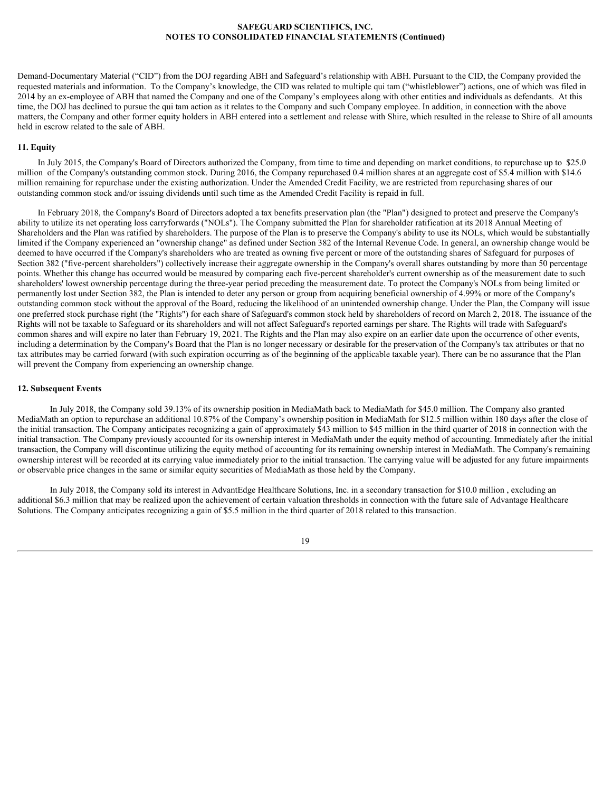Demand-Documentary Material ("CID") from the DOJ regarding ABH and Safeguard's relationship with ABH. Pursuant to the CID, the Company provided the requested materials and information. To the Company's knowledge, the CID was related to multiple qui tam ("whistleblower") actions, one of which was filed in 2014 by an ex-employee of ABH that named the Company and one of the Company's employees along with other entities and individuals as defendants. At this time, the DOJ has declined to pursue the qui tam action as it relates to the Company and such Company employee. In addition, in connection with the above matters, the Company and other former equity holders in ABH entered into a settlement and release with Shire, which resulted in the release to Shire of all amounts held in escrow related to the sale of ABH.

## **11. Equity**

In July 2015, the Company's Board of Directors authorized the Company, from time to time and depending on market conditions, to repurchase up to \$25.0 million of the Company's outstanding common stock. During 2016, the Company repurchased 0.4 million shares at an aggregate cost of \$5.4 million with \$14.6 million remaining for repurchase under the existing authorization. Under the Amended Credit Facility, we are restricted from repurchasing shares of our outstanding common stock and/or issuing dividends until such time as the Amended Credit Facility is repaid in full.

In February 2018, the Company's Board of Directors adopted a tax benefits preservation plan (the "Plan") designed to protect and preserve the Company's ability to utilize its net operating loss carryforwards ("NOLs"). The Company submitted the Plan for shareholder ratification at its 2018 Annual Meeting of Shareholders and the Plan was ratified by shareholders. The purpose of the Plan is to preserve the Company's ability to use its NOLs, which would be substantially limited if the Company experienced an "ownership change" as defined under Section 382 of the Internal Revenue Code. In general, an ownership change would be deemed to have occurred if the Company's shareholders who are treated as owning five percent or more of the outstanding shares of Safeguard for purposes of Section 382 ("five-percent shareholders") collectively increase their aggregate ownership in the Company's overall shares outstanding by more than 50 percentage points. Whether this change has occurred would be measured by comparing each five-percent shareholder's current ownership as of the measurement date to such shareholders' lowest ownership percentage during the three-year period preceding the measurement date. To protect the Company's NOLs from being limited or permanently lost under Section 382, the Plan is intended to deter any person or group from acquiring beneficial ownership of 4.99% or more of the Company's outstanding common stock without the approval of the Board, reducing the likelihood of an unintended ownership change. Under the Plan, the Company will issue one preferred stock purchase right (the "Rights") for each share of Safeguard's common stock held by shareholders of record on March 2, 2018. The issuance of the Rights will not be taxable to Safeguard or its shareholders and will not affect Safeguard's reported earnings per share. The Rights will trade with Safeguard's common shares and will expire no later than February 19, 2021. The Rights and the Plan may also expire on an earlier date upon the occurrence of other events, including a determination by the Company's Board that the Plan is no longer necessary or desirable for the preservation of the Company's tax attributes or that no tax attributes may be carried forward (with such expiration occurring as of the beginning of the applicable taxable year). There can be no assurance that the Plan will prevent the Company from experiencing an ownership change.

#### **12. Subsequent Events**

 In July 2018, the Company sold 39.13% of its ownership position in MediaMath back to MediaMath for \$45.0 million. The Company also granted MediaMath an option to repurchase an additional 10.87% of the Company's ownership position in MediaMath for \$12.5 million within 180 days after the close of the initial transaction. The Company anticipates recognizing a gain of approximately \$43 million to \$45 million in the third quarter of 2018 in connection with the initial transaction. The Company previously accounted for its ownership interest in MediaMath under the equity method of accounting. Immediately after the initial transaction, the Company will discontinue utilizing the equity method of accounting for its remaining ownership interest in MediaMath. The Company's remaining ownership interest will be recorded at its carrying value immediately prior to the initial transaction. The carrying value will be adjusted for any future impairments or observable price changes in the same or similar equity securities of MediaMath as those held by the Company.

In July 2018, the Company sold its interest in AdvantEdge Healthcare Solutions, Inc. in a secondary transaction for \$10.0 million , excluding an additional \$6.3 million that may be realized upon the achievement of certain valuation thresholds in connection with the future sale of Advantage Healthcare Solutions. The Company anticipates recognizing a gain of \$5.5 million in the third quarter of 2018 related to this transaction.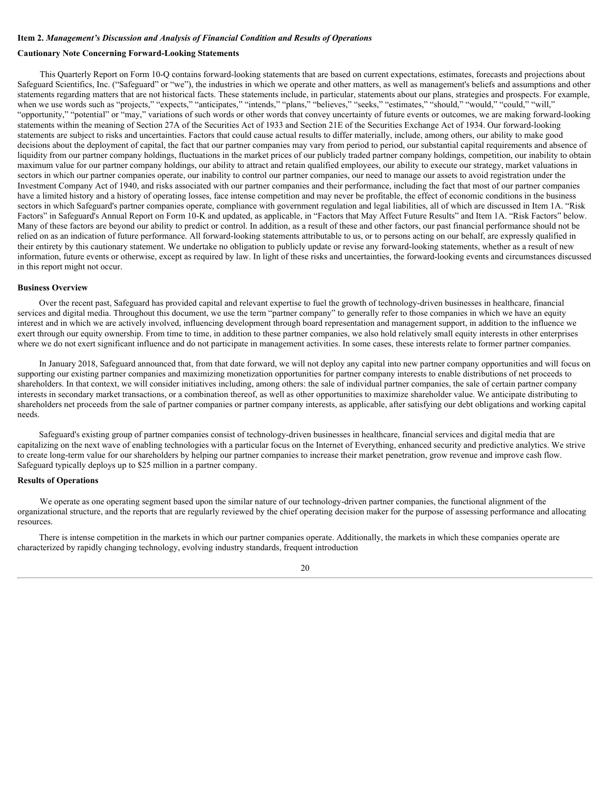## <span id="page-19-0"></span>**Item 2.** *Management's Discussion and Analysis of Financial Condition and Results of Operations*

## **Cautionary Note Concerning Forward-Looking Statements**

This Quarterly Report on Form 10-Q contains forward-looking statements that are based on current expectations, estimates, forecasts and projections about Safeguard Scientifics, Inc. ("Safeguard" or "we"), the industries in which we operate and other matters, as well as management's beliefs and assumptions and other statements regarding matters that are not historical facts. These statements include, in particular, statements about our plans, strategies and prospects. For example, when we use words such as "projects," "expects," "anticipates," "intends," "plans," "believes," "seeks," "estimates," "should," "would," "could," "will," "opportunity," "potential" or "may," variations of such words or other words that convey uncertainty of future events or outcomes, we are making forward-looking statements within the meaning of Section 27A of the Securities Act of 1933 and Section 21E of the Securities Exchange Act of 1934. Our forward-looking statements are subject to risks and uncertainties. Factors that could cause actual results to differ materially, include, among others, our ability to make good decisions about the deployment of capital, the fact that our partner companies may vary from period to period, our substantial capital requirements and absence of liquidity from our partner company holdings, fluctuations in the market prices of our publicly traded partner company holdings, competition, our inability to obtain maximum value for our partner company holdings, our ability to attract and retain qualified employees, our ability to execute our strategy, market valuations in sectors in which our partner companies operate, our inability to control our partner companies, our need to manage our assets to avoid registration under the Investment Company Act of 1940, and risks associated with our partner companies and their performance, including the fact that most of our partner companies have a limited history and a history of operating losses, face intense competition and may never be profitable, the effect of economic conditions in the business sectors in which Safeguard's partner companies operate, compliance with government regulation and legal liabilities, all of which are discussed in Item 1A. "Risk Factors" in Safeguard's Annual Report on Form 10-K and updated, as applicable, in "Factors that May Affect Future Results" and Item 1A. "Risk Factors" below. Many of these factors are beyond our ability to predict or control. In addition, as a result of these and other factors, our past financial performance should not be relied on as an indication of future performance. All forward-looking statements attributable to us, or to persons acting on our behalf, are expressly qualified in their entirety by this cautionary statement. We undertake no obligation to publicly update or revise any forward-looking statements, whether as a result of new information, future events or otherwise, except as required by law. In light of these risks and uncertainties, the forward-looking events and circumstances discussed in this report might not occur.

#### **Business Overview**

Over the recent past, Safeguard has provided capital and relevant expertise to fuel the growth of technology-driven businesses in healthcare, financial services and digital media. Throughout this document, we use the term "partner company" to generally refer to those companies in which we have an equity interest and in which we are actively involved, influencing development through board representation and management support, in addition to the influence we exert through our equity ownership. From time to time, in addition to these partner companies, we also hold relatively small equity interests in other enterprises where we do not exert significant influence and do not participate in management activities. In some cases, these interests relate to former partner companies.

In January 2018, Safeguard announced that, from that date forward, we will not deploy any capital into new partner company opportunities and will focus on supporting our existing partner companies and maximizing monetization opportunities for partner company interests to enable distributions of net proceeds to shareholders. In that context, we will consider initiatives including, among others: the sale of individual partner companies, the sale of certain partner company interests in secondary market transactions, or a combination thereof, as well as other opportunities to maximize shareholder value. We anticipate distributing to shareholders net proceeds from the sale of partner companies or partner company interests, as applicable, after satisfying our debt obligations and working capital needs.

Safeguard's existing group of partner companies consist of technology-driven businesses in healthcare, financial services and digital media that are capitalizing on the next wave of enabling technologies with a particular focus on the Internet of Everything, enhanced security and predictive analytics. We strive to create long-term value for our shareholders by helping our partner companies to increase their market penetration, grow revenue and improve cash flow. Safeguard typically deploys up to \$25 million in a partner company.

#### **Results of Operations**

We operate as one operating segment based upon the similar nature of our technology-driven partner companies, the functional alignment of the organizational structure, and the reports that are regularly reviewed by the chief operating decision maker for the purpose of assessing performance and allocating resources.

There is intense competition in the markets in which our partner companies operate. Additionally, the markets in which these companies operate are characterized by rapidly changing technology, evolving industry standards, frequent introduction

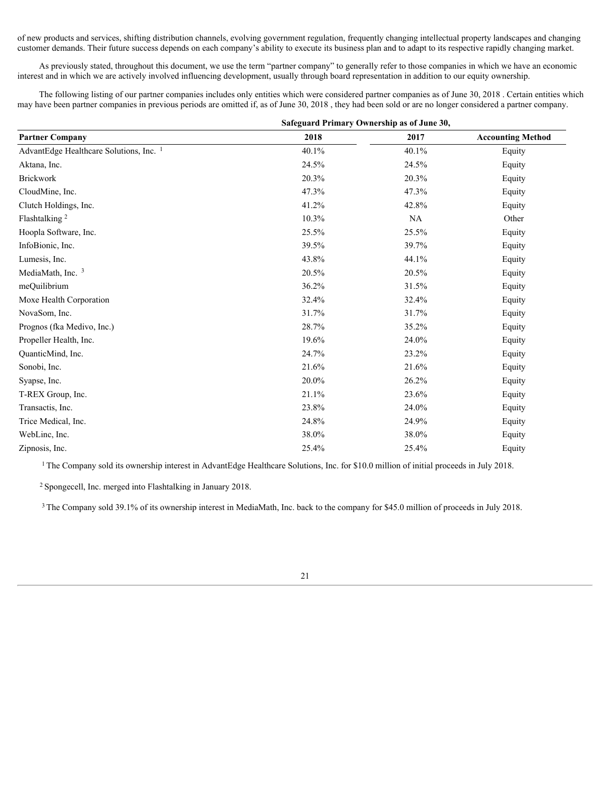of new products and services, shifting distribution channels, evolving government regulation, frequently changing intellectual property landscapes and changing customer demands. Their future success depends on each company's ability to execute its business plan and to adapt to its respective rapidly changing market.

As previously stated, throughout this document, we use the term "partner company" to generally refer to those companies in which we have an economic interest and in which we are actively involved influencing development, usually through board representation in addition to our equity ownership.

The following listing of our partner companies includes only entities which were considered partner companies as of June 30, 2018 . Certain entities which may have been partner companies in previous periods are omitted if, as of June 30, 2018 , they had been sold or are no longer considered a partner company.

| Safeguard Primary Ownership as of June 30,         |       |           |                          |  |  |  |  |
|----------------------------------------------------|-------|-----------|--------------------------|--|--|--|--|
| <b>Partner Company</b>                             | 2018  | 2017      | <b>Accounting Method</b> |  |  |  |  |
| AdvantEdge Healthcare Solutions, Inc. <sup>1</sup> | 40.1% | 40.1%     | Equity                   |  |  |  |  |
| Aktana, Inc.                                       | 24.5% | 24.5%     | Equity                   |  |  |  |  |
| Brickwork                                          | 20.3% | 20.3%     | Equity                   |  |  |  |  |
| CloudMine, Inc.                                    | 47.3% | 47.3%     | Equity                   |  |  |  |  |
| Clutch Holdings, Inc.                              | 41.2% | 42.8%     | Equity                   |  |  |  |  |
| Flashtalking <sup>2</sup>                          | 10.3% | <b>NA</b> | Other                    |  |  |  |  |
| Hoopla Software, Inc.                              | 25.5% | 25.5%     | Equity                   |  |  |  |  |
| InfoBionic, Inc.                                   | 39.5% | 39.7%     | Equity                   |  |  |  |  |
| Lumesis, Inc.                                      | 43.8% | 44.1%     | Equity                   |  |  |  |  |
| MediaMath, Inc. 3                                  | 20.5% | 20.5%     | Equity                   |  |  |  |  |
| meQuilibrium                                       | 36.2% | 31.5%     | Equity                   |  |  |  |  |
| Moxe Health Corporation                            | 32.4% | 32.4%     | Equity                   |  |  |  |  |
| NovaSom, Inc.                                      | 31.7% | 31.7%     | Equity                   |  |  |  |  |
| Prognos (fka Medivo, Inc.)                         | 28.7% | 35.2%     | Equity                   |  |  |  |  |
| Propeller Health, Inc.                             | 19.6% | 24.0%     | Equity                   |  |  |  |  |
| QuanticMind, Inc.                                  | 24.7% | 23.2%     | Equity                   |  |  |  |  |
| Sonobi, Inc.                                       | 21.6% | 21.6%     | Equity                   |  |  |  |  |
| Syapse, Inc.                                       | 20.0% | 26.2%     | Equity                   |  |  |  |  |
| T-REX Group, Inc.                                  | 21.1% | 23.6%     | Equity                   |  |  |  |  |
| Transactis, Inc.                                   | 23.8% | 24.0%     | Equity                   |  |  |  |  |
| Trice Medical, Inc.                                | 24.8% | 24.9%     | Equity                   |  |  |  |  |
| WebLinc, Inc.                                      | 38.0% | 38.0%     | Equity                   |  |  |  |  |
| Zipnosis, Inc.                                     | 25.4% | 25.4%     | Equity                   |  |  |  |  |

<sup>1</sup>The Company sold its ownership interest in AdvantEdge Healthcare Solutions, Inc. for \$10.0 million of initial proceeds in July 2018.

<sup>2</sup>Spongecell, Inc. merged into Flashtalking in January 2018.

<sup>3</sup>The Company sold 39.1% of its ownership interest in MediaMath, Inc. back to the company for \$45.0 million of proceeds in July 2018.

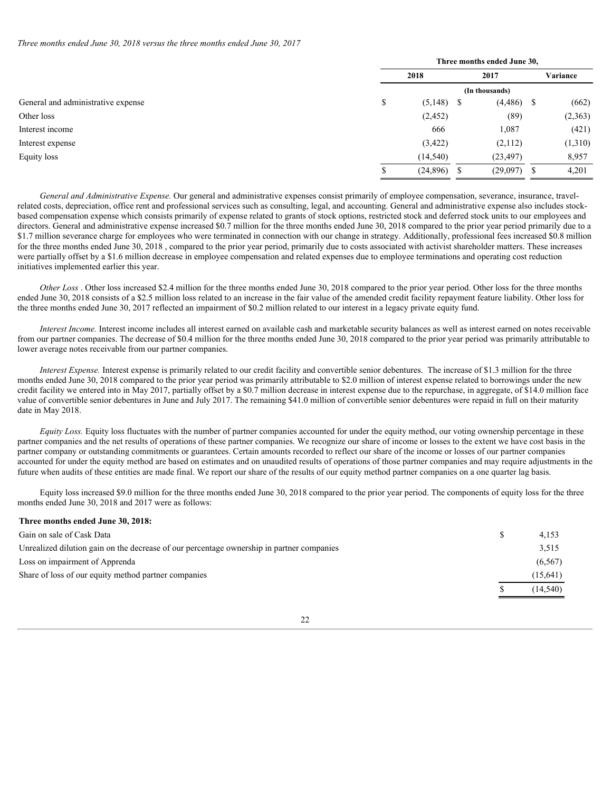*Three months ended June 30, 2018 versus the three months ended June 30, 2017*

|                                    |    | Three months ended June 30, |  |                |          |  |  |
|------------------------------------|----|-----------------------------|--|----------------|----------|--|--|
|                                    |    | 2018                        |  | 2017           | Variance |  |  |
|                                    |    |                             |  | (In thousands) |          |  |  |
| General and administrative expense | ۰D | $(5,148)$ \$                |  | $(4,486)$ \$   | (662)    |  |  |
| Other loss                         |    | (2, 452)                    |  | (89)           | (2,363)  |  |  |
| Interest income                    |    | 666                         |  | 1,087          | (421)    |  |  |
| Interest expense                   |    | (3, 422)                    |  | (2,112)        | (1,310)  |  |  |
| Equity loss                        |    | (14, 540)                   |  | (23, 497)      | 8,957    |  |  |
|                                    |    | $(24,896)$ \$               |  | $(29,097)$ \$  | 4,201    |  |  |
|                                    |    |                             |  |                |          |  |  |

*General and Administrative Expense.* Our general and administrative expenses consist primarily of employee compensation, severance, insurance, travelrelated costs, depreciation, office rent and professional services such as consulting, legal, and accounting. General and administrative expense also includes stockbased compensation expense which consists primarily of expense related to grants of stock options, restricted stock and deferred stock units to our employees and directors. General and administrative expense increased \$0.7 million for the three months ended June 30, 2018 compared to the prior year period primarily due to a \$1.7 million severance charge for employees who were terminated in connection with our change in strategy. Additionally, professional fees increased \$0.8 million for the three months ended June 30, 2018, compared to the prior year period, primarily due to costs associated with activist shareholder matters. These increases were partially offset by a \$1.6 million decrease in employee compensation and related expenses due to employee terminations and operating cost reduction initiatives implemented earlier this year.

*Other Loss* . Other loss increased \$2.4 million for the three months ended June 30, 2018 compared to the prior year period. Other loss for the three months ended June 30, 2018 consists of a \$2.5 million loss related to an increase in the fair value of the amended credit facility repayment feature liability. Other loss for the three months ended June 30, 2017 reflected an impairment of \$0.2 million related to our interest in a legacy private equity fund.

*Interest Income.* Interest income includes all interest earned on available cash and marketable security balances as well as interest earned on notes receivable from our partner companies. The decrease of \$0.4 million for the three months ended June 30, 2018 compared to the prior year period was primarily attributable to lower average notes receivable from our partner companies.

*Interest Expense.* Interest expense is primarily related to our credit facility and convertible senior debentures. The increase of \$1.3 million for the three months ended June 30, 2018 compared to the prior year period was primarily attributable to \$2.0 million of interest expense related to borrowings under the new credit facility we entered into in May 2017, partially offset by a \$0.7 million decrease in interest expense due to the repurchase, in aggregate, of \$14.0 million face value of convertible senior debentures in June and July 2017. The remaining \$41.0 million of convertible senior debentures were repaid in full on their maturity date in May 2018.

*Equity Loss.* Equity loss fluctuates with the number of partner companies accounted for under the equity method, our voting ownership percentage in these partner companies and the net results of operations of these partner companies. We recognize our share of income or losses to the extent we have cost basis in the partner company or outstanding commitments or guarantees. Certain amounts recorded to reflect our share of the income or losses of our partner companies accounted for under the equity method are based on estimates and on unaudited results of operations of those partner companies and may require adjustments in the future when audits of these entities are made final. We report our share of the results of our equity method partner companies on a one quarter lag basis.

Equity loss increased \$9.0 million for the three months ended June 30, 2018 compared to the prior year period. The components of equity loss for the three months ended June 30, 2018 and 2017 were as follows:

| Three months ended June 30, 2018:                                                         |           |
|-------------------------------------------------------------------------------------------|-----------|
| Gain on sale of Cask Data                                                                 | 4,153     |
| Unrealized dilution gain on the decrease of our percentage ownership in partner companies | 3,515     |
| Loss on impairment of Apprenda                                                            | (6, 567)  |
| Share of loss of our equity method partner companies                                      | (15, 641) |
|                                                                                           | (14, 540) |
|                                                                                           |           |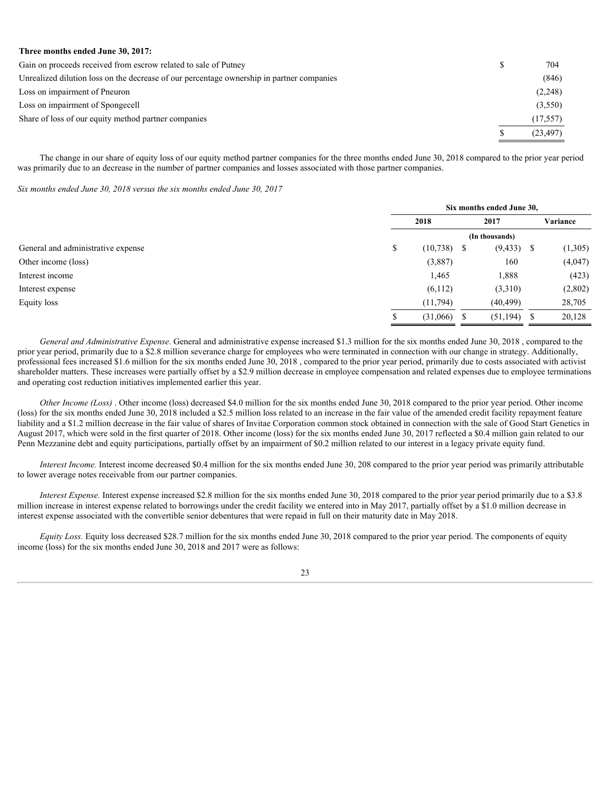## **Three months ended June 30, 2017:**

| Gain on proceeds received from escrow related to sale of Putney                           | 704       |
|-------------------------------------------------------------------------------------------|-----------|
| Unrealized dilution loss on the decrease of our percentage ownership in partner companies | (846)     |
| Loss on impairment of Pneuron                                                             | (2, 248)  |
| Loss on impairment of Spongecell                                                          | (3,550)   |
| Share of loss of our equity method partner companies                                      | (17, 557) |
|                                                                                           | (23, 497) |

The change in our share of equity loss of our equity method partner companies for the three months ended June 30, 2018 compared to the prior year period was primarily due to an decrease in the number of partner companies and losses associated with those partner companies.

*Six months ended June 30, 2018 versus the six months ended June 30, 2017*

|                                    |    | Six months ended June 30, |      |                |         |  |  |  |
|------------------------------------|----|---------------------------|------|----------------|---------|--|--|--|
|                                    |    | Variance<br>2018<br>2017  |      |                |         |  |  |  |
|                                    |    |                           |      | (In thousands) |         |  |  |  |
| General and administrative expense | ٨D | (10, 738)                 | - 5  | $(9, 433)$ \$  | (1,305) |  |  |  |
| Other income (loss)                |    | (3,887)                   |      | 160            | (4,047) |  |  |  |
| Interest income                    |    | 1,465                     |      | 1,888          | (423)   |  |  |  |
| Interest expense                   |    | (6,112)                   |      | (3,310)        | (2,802) |  |  |  |
| Equity loss                        |    | (11,794)                  |      | (40, 499)      | 28,705  |  |  |  |
|                                    |    | (31,066)                  | - 25 | $(51,194)$ \$  | 20,128  |  |  |  |
|                                    |    |                           |      |                |         |  |  |  |

*General and Administrative Expense.* General and administrative expense increased \$1.3 million for the six months ended June 30, 2018 , compared to the prior year period, primarily due to a \$2.8 million severance charge for employees who were terminated in connection with our change in strategy. Additionally, professional fees increased \$1.6 million for the six months ended June 30, 2018 , compared to the prior year period, primarily due to costs associated with activist shareholder matters. These increases were partially offset by a \$2.9 million decrease in employee compensation and related expenses due to employee terminations and operating cost reduction initiatives implemented earlier this year.

*Other Income (Loss)* . Other income (loss) decreased \$4.0 million for the six months ended June 30, 2018 compared to the prior year period. Other income (loss) for the six months ended June 30, 2018 included a \$2.5 million loss related to an increase in the fair value of the amended credit facility repayment feature liability and a \$1.2 million decrease in the fair value of shares of Invitae Corporation common stock obtained in connection with the sale of Good Start Genetics in August 2017, which were sold in the first quarter of 2018. Other income (loss) for the six months ended June 30, 2017 reflected a \$0.4 million gain related to our Penn Mezzanine debt and equity participations, partially offset by an impairment of \$0.2 million related to our interest in a legacy private equity fund.

*Interest Income*. Interest income decreased \$0.4 million for the six months ended June 30, 208 compared to the prior year period was primarily attributable to lower average notes receivable from our partner companies.

*Interest Expense.* Interest expense increased \$2.8 million for the six months ended June 30, 2018 compared to the prior year period primarily due to a \$3.8 million increase in interest expense related to borrowings under the credit facility we entered into in May 2017, partially offset by a \$1.0 million decrease in interest expense associated with the convertible senior debentures that were repaid in full on their maturity date in May 2018.

*Equity Loss.* Equity loss decreased \$28.7 million for the six months ended June 30, 2018 compared to the prior year period. The components of equity income (loss) for the six months ended June 30, 2018 and 2017 were as follows: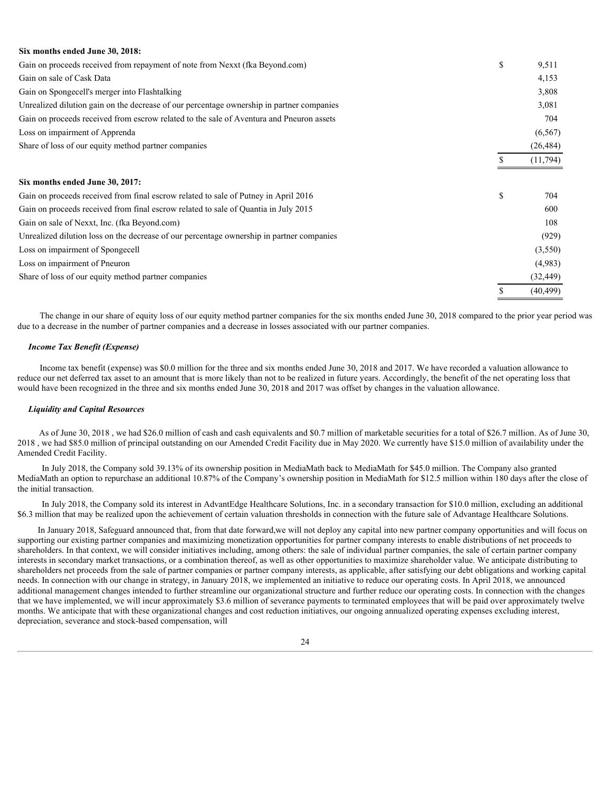| Six months ended June 30, 2018:                                                           |               |           |
|-------------------------------------------------------------------------------------------|---------------|-----------|
| Gain on proceeds received from repayment of note from Nexxt (fka Beyond.com)              | \$            | 9,511     |
| Gain on sale of Cask Data                                                                 |               | 4,153     |
| Gain on Spongecell's merger into Flashtalking                                             |               | 3,808     |
| Unrealized dilution gain on the decrease of our percentage ownership in partner companies |               | 3,081     |
| Gain on proceeds received from escrow related to the sale of Aventura and Pneuron assets  |               | 704       |
| Loss on impairment of Apprenda                                                            |               | (6, 567)  |
| Share of loss of our equity method partner companies                                      |               | (26, 484) |
|                                                                                           |               | (11, 794) |
| Six months ended June 30, 2017:                                                           |               |           |
| Gain on proceeds received from final escrow related to sale of Putney in April 2016       | <sup>\$</sup> | 704       |
| Gain on proceeds received from final escrow related to sale of Quantia in July 2015       |               | 600       |
| Gain on sale of Nexxt, Inc. (fka Beyond.com)                                              |               | 108       |
| Unrealized dilution loss on the decrease of our percentage ownership in partner companies |               | (929)     |
| Loss on impairment of Spongecell                                                          |               | (3,550)   |
| Loss on impairment of Pneuron                                                             |               | (4,983)   |
| Share of loss of our equity method partner companies                                      |               | (32, 449) |
|                                                                                           |               | (40, 499) |

The change in our share of equity loss of our equity method partner companies for the six months ended June 30, 2018 compared to the prior year period was due to a decrease in the number of partner companies and a decrease in losses associated with our partner companies.

## *Income Tax Benefit (Expense)*

Income tax benefit (expense) was \$0.0 million for the three and six months ended June 30, 2018 and 2017. We have recorded a valuation allowance to reduce our net deferred tax asset to an amount that is more likely than not to be realized in future years. Accordingly, the benefit of the net operating loss that would have been recognized in the three and six months ended June 30, 2018 and 2017 was offset by changes in the valuation allowance.

## *Liquidity and Capital Resources*

As of June 30, 2018 , we had \$26.0 million of cash and cash equivalents and \$0.7 million of marketable securities for a total of \$26.7 million. As of June 30, 2018 , we had \$85.0 million of principal outstanding on our Amended Credit Facility due in May 2020. We currently have \$15.0 million of availability under the Amended Credit Facility.

In July 2018, the Company sold 39.13% of its ownership position in MediaMath back to MediaMath for \$45.0 million. The Company also granted MediaMath an option to repurchase an additional 10.87% of the Company's ownership position in MediaMath for \$12.5 million within 180 days after the close of the initial transaction.

In July 2018, the Company sold its interest in AdvantEdge Healthcare Solutions, Inc. in a secondary transaction for \$10.0 million, excluding an additional \$6.3 million that may be realized upon the achievement of certain valuation thresholds in connection with the future sale of Advantage Healthcare Solutions.

In January 2018, Safeguard announced that, from that date forward,we will not deploy any capital into new partner company opportunities and will focus on supporting our existing partner companies and maximizing monetization opportunities for partner company interests to enable distributions of net proceeds to shareholders. In that context, we will consider initiatives including, among others: the sale of individual partner companies, the sale of certain partner company interests in secondary market transactions, or a combination thereof, as well as other opportunities to maximize shareholder value. We anticipate distributing to shareholders net proceeds from the sale of partner companies or partner company interests, as applicable, after satisfying our debt obligations and working capital needs. In connection with our change in strategy, in January 2018, we implemented an initiative to reduce our operating costs. In April 2018, we announced additional management changes intended to further streamline our organizational structure and further reduce our operating costs. In connection with the changes that we have implemented, we will incur approximately \$3.6 million of severance payments to terminated employees that will be paid over approximately twelve months. We anticipate that with these organizational changes and cost reduction initiatives, our ongoing annualized operating expenses excluding interest, depreciation, severance and stock-based compensation, will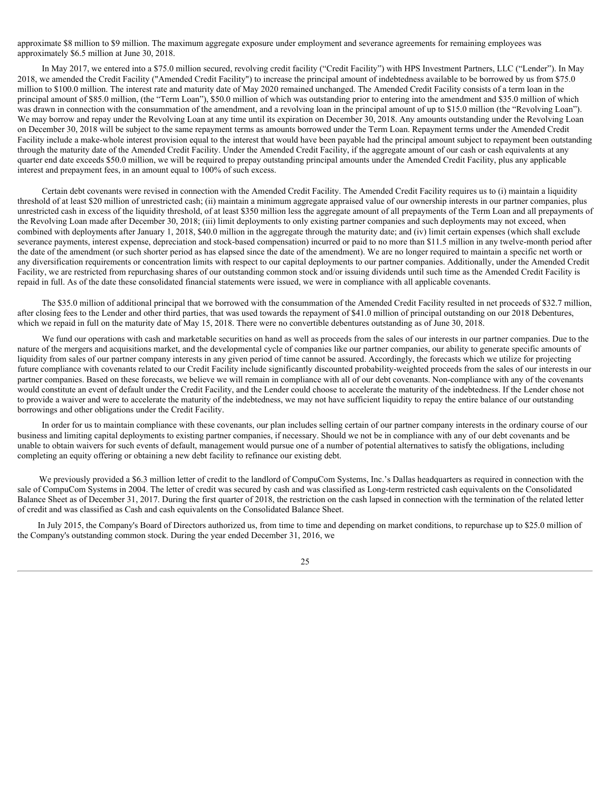approximate \$8 million to \$9 million. The maximum aggregate exposure under employment and severance agreements for remaining employees was approximately \$6.5 million at June 30, 2018.

In May 2017, we entered into a \$75.0 million secured, revolving credit facility ("Credit Facility") with HPS Investment Partners, LLC ("Lender"). In May 2018, we amended the Credit Facility ("Amended Credit Facility") to increase the principal amount of indebtedness available to be borrowed by us from \$75.0 million to \$100.0 million. The interest rate and maturity date of May 2020 remained unchanged. The Amended Credit Facility consists of a term loan in the principal amount of \$85.0 million, (the "Term Loan"), \$50.0 million of which was outstanding prior to entering into the amendment and \$35.0 million of which was drawn in connection with the consummation of the amendment, and a revolving loan in the principal amount of up to \$15.0 million (the "Revolving Loan"). We may borrow and repay under the Revolving Loan at any time until its expiration on December 30, 2018. Any amounts outstanding under the Revolving Loan on December 30, 2018 will be subject to the same repayment terms as amounts borrowed under the Term Loan. Repayment terms under the Amended Credit Facility include a make-whole interest provision equal to the interest that would have been payable had the principal amount subject to repayment been outstanding through the maturity date of the Amended Credit Facility. Under the Amended Credit Facility, if the aggregate amount of our cash or cash equivalents at any quarter end date exceeds \$50.0 million, we will be required to prepay outstanding principal amounts under the Amended Credit Facility, plus any applicable interest and prepayment fees, in an amount equal to 100% of such excess.

Certain debt covenants were revised in connection with the Amended Credit Facility. The Amended Credit Facility requires us to (i) maintain a liquidity threshold of at least \$20 million of unrestricted cash; (ii) maintain a minimum aggregate appraised value of our ownership interests in our partner companies, plus unrestricted cash in excess of the liquidity threshold, of at least \$350 million less the aggregate amount of all prepayments of the Term Loan and all prepayments of the Revolving Loan made after December 30, 2018; (iii) limit deployments to only existing partner companies and such deployments may not exceed, when combined with deployments after January 1, 2018, \$40.0 million in the aggregate through the maturity date; and (iv) limit certain expenses (which shall exclude severance payments, interest expense, depreciation and stock-based compensation) incurred or paid to no more than \$11.5 million in any twelve-month period after the date of the amendment (or such shorter period as has elapsed since the date of the amendment). We are no longer required to maintain a specific net worth or any diversification requirements or concentration limits with respect to our capital deployments to our partner companies. Additionally, under the Amended Credit Facility, we are restricted from repurchasing shares of our outstanding common stock and/or issuing dividends until such time as the Amended Credit Facility is repaid in full. As of the date these consolidated financial statements were issued, we were in compliance with all applicable covenants.

The \$35.0 million of additional principal that we borrowed with the consummation of the Amended Credit Facility resulted in net proceeds of \$32.7 million, after closing fees to the Lender and other third parties, that was used towards the repayment of \$41.0 million of principal outstanding on our 2018 Debentures, which we repaid in full on the maturity date of May 15, 2018. There were no convertible debentures outstanding as of June 30, 2018.

We fund our operations with cash and marketable securities on hand as well as proceeds from the sales of our interests in our partner companies. Due to the nature of the mergers and acquisitions market, and the developmental cycle of companies like our partner companies, our ability to generate specific amounts of liquidity from sales of our partner company interests in any given period of time cannot be assured. Accordingly, the forecasts which we utilize for projecting future compliance with covenants related to our Credit Facility include significantly discounted probability-weighted proceeds from the sales of our interests in our partner companies. Based on these forecasts, we believe we will remain in compliance with all of our debt covenants. Non-compliance with any of the covenants would constitute an event of default under the Credit Facility, and the Lender could choose to accelerate the maturity of the indebtedness. If the Lender chose not to provide a waiver and were to accelerate the maturity of the indebtedness, we may not have sufficient liquidity to repay the entire balance of our outstanding borrowings and other obligations under the Credit Facility.

In order for us to maintain compliance with these covenants, our plan includes selling certain of our partner company interests in the ordinary course of our business and limiting capital deployments to existing partner companies, if necessary. Should we not be in compliance with any of our debt covenants and be unable to obtain waivers for such events of default, management would pursue one of a number of potential alternatives to satisfy the obligations, including completing an equity offering or obtaining a new debt facility to refinance our existing debt.

We previously provided a \$6.3 million letter of credit to the landlord of CompuCom Systems, Inc.'s Dallas headquarters as required in connection with the sale of CompuCom Systems in 2004. The letter of credit was secured by cash and was classified as Long-term restricted cash equivalents on the Consolidated Balance Sheet as of December 31, 2017. During the first quarter of 2018, the restriction on the cash lapsed in connection with the termination of the related letter of credit and was classified as Cash and cash equivalents on the Consolidated Balance Sheet.

In July 2015, the Company's Board of Directors authorized us, from time to time and depending on market conditions, to repurchase up to \$25.0 million of the Company's outstanding common stock. During the year ended December 31, 2016, we

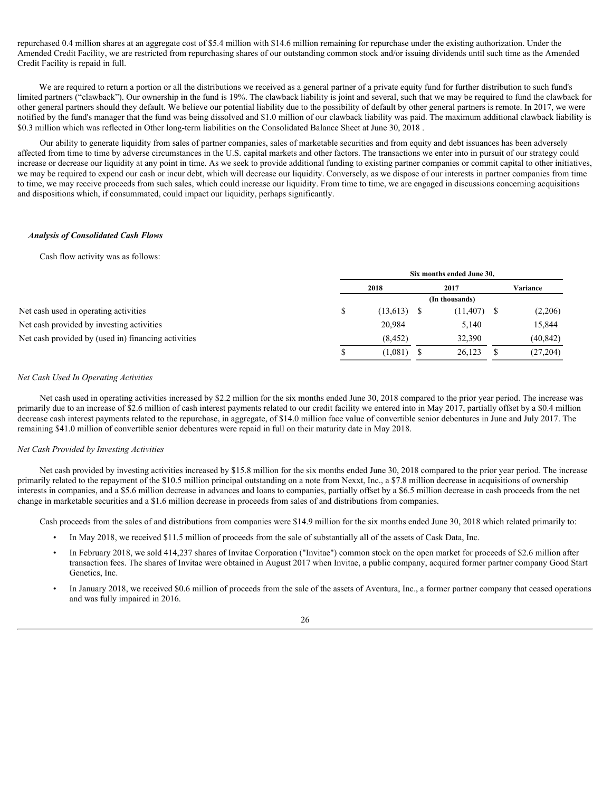repurchased 0.4 million shares at an aggregate cost of \$5.4 million with \$14.6 million remaining for repurchase under the existing authorization. Under the Amended Credit Facility, we are restricted from repurchasing shares of our outstanding common stock and/or issuing dividends until such time as the Amended Credit Facility is repaid in full.

We are required to return a portion or all the distributions we received as a general partner of a private equity fund for further distribution to such fund's limited partners ("clawback"). Our ownership in the fund is 19%. The clawback liability is joint and several, such that we may be required to fund the clawback for other general partners should they default. We believe our potential liability due to the possibility of default by other general partners is remote. In 2017, we were notified by the fund's manager that the fund was being dissolved and \$1.0 million of our clawback liability was paid. The maximum additional clawback liability is \$0.3 million which was reflected in Other long-term liabilities on the Consolidated Balance Sheet at June 30, 2018 .

Our ability to generate liquidity from sales of partner companies, sales of marketable securities and from equity and debt issuances has been adversely affected from time to time by adverse circumstances in the U.S. capital markets and other factors. The transactions we enter into in pursuit of our strategy could increase or decrease our liquidity at any point in time. As we seek to provide additional funding to existing partner companies or commit capital to other initiatives, we may be required to expend our cash or incur debt, which will decrease our liquidity. Conversely, as we dispose of our interests in partner companies from time to time, we may receive proceeds from such sales, which could increase our liquidity. From time to time, we are engaged in discussions concerning acquisitions and dispositions which, if consummated, could impact our liquidity, perhaps significantly.

## *Analysis of Consolidated Cash Flows*

#### Cash flow activity was as follows:

|                                                     | Six months ended June 30, |               |     |                |  |           |  |  |
|-----------------------------------------------------|---------------------------|---------------|-----|----------------|--|-----------|--|--|
|                                                     | 2018                      |               |     | 2017           |  | Variance  |  |  |
|                                                     |                           |               |     | (In thousands) |  |           |  |  |
| Net cash used in operating activities               |                           | $(13,613)$ \$ |     | $(11,407)$ \$  |  | (2,206)   |  |  |
| Net cash provided by investing activities           |                           | 20,984        |     | 5,140          |  | 15,844    |  |  |
| Net cash provided by (used in) financing activities |                           | (8, 452)      |     | 32,390         |  | (40, 842) |  |  |
|                                                     |                           | (1,081)       | - 5 | 26,123         |  | (27, 204) |  |  |

#### *Net Cash Used In Operating Activities*

Net cash used in operating activities increased by \$2.2 million for the six months ended June 30, 2018 compared to the prior year period. The increase was primarily due to an increase of \$2.6 million of cash interest payments related to our credit facility we entered into in May 2017, partially offset by a \$0.4 million decrease cash interest payments related to the repurchase, in aggregate, of \$14.0 million face value of convertible senior debentures in June and July 2017. The remaining \$41.0 million of convertible senior debentures were repaid in full on their maturity date in May 2018.

#### *Net Cash Provided by Investing Activities*

Net cash provided by investing activities increased by \$15.8 million for the six months ended June 30, 2018 compared to the prior year period. The increase primarily related to the repayment of the \$10.5 million principal outstanding on a note from Nexxt, Inc., a \$7.8 million decrease in acquisitions of ownership interests in companies, and a \$5.6 million decrease in advances and loans to companies, partially offset by a \$6.5 million decrease in cash proceeds from the net change in marketable securities and a \$1.6 million decrease in proceeds from sales of and distributions from companies.

Cash proceeds from the sales of and distributions from companies were \$14.9 million for the six months ended June 30, 2018 which related primarily to:

- In May 2018, we received \$11.5 million of proceeds from the sale of substantially all of the assets of Cask Data, Inc.
- In February 2018, we sold 414,237 shares of Invitae Corporation ("Invitae") common stock on the open market for proceeds of \$2.6 million after transaction fees. The shares of Invitae were obtained in August 2017 when Invitae, a public company, acquired former partner company Good Start Genetics, Inc.
- In January 2018, we received \$0.6 million of proceeds from the sale of the assets of Aventura, Inc., a former partner company that ceased operations and was fully impaired in 2016.

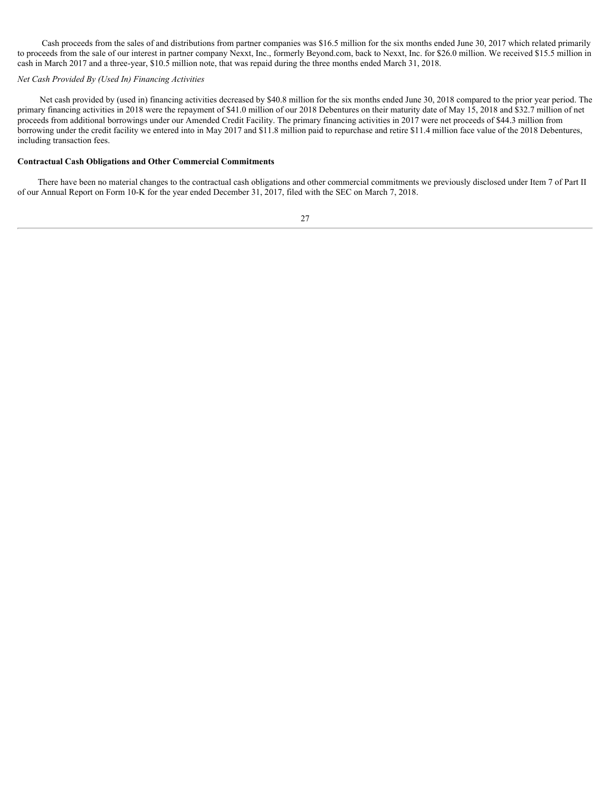Cash proceeds from the sales of and distributions from partner companies was \$16.5 million for the six months ended June 30, 2017 which related primarily to proceeds from the sale of our interest in partner company Nexxt, Inc., formerly Beyond.com, back to Nexxt, Inc. for \$26.0 million. We received \$15.5 million in cash in March 2017 and a three-year, \$10.5 million note, that was repaid during the three months ended March 31, 2018.

#### *Net Cash Provided By (Used In) Financing Activities*

Net cash provided by (used in) financing activities decreased by \$40.8 million for the six months ended June 30, 2018 compared to the prior year period. The primary financing activities in 2018 were the repayment of \$41.0 million of our 2018 Debentures on their maturity date of May 15, 2018 and \$32.7 million of net proceeds from additional borrowings under our Amended Credit Facility. The primary financing activities in 2017 were net proceeds of \$44.3 million from borrowing under the credit facility we entered into in May 2017 and \$11.8 million paid to repurchase and retire \$11.4 million face value of the 2018 Debentures, including transaction fees.

## **Contractual Cash Obligations and Other Commercial Commitments**

There have been no material changes to the contractual cash obligations and other commercial commitments we previously disclosed under Item 7 of Part II of our Annual Report on Form 10-K for the year ended December 31, 2017, filed with the SEC on March 7, 2018.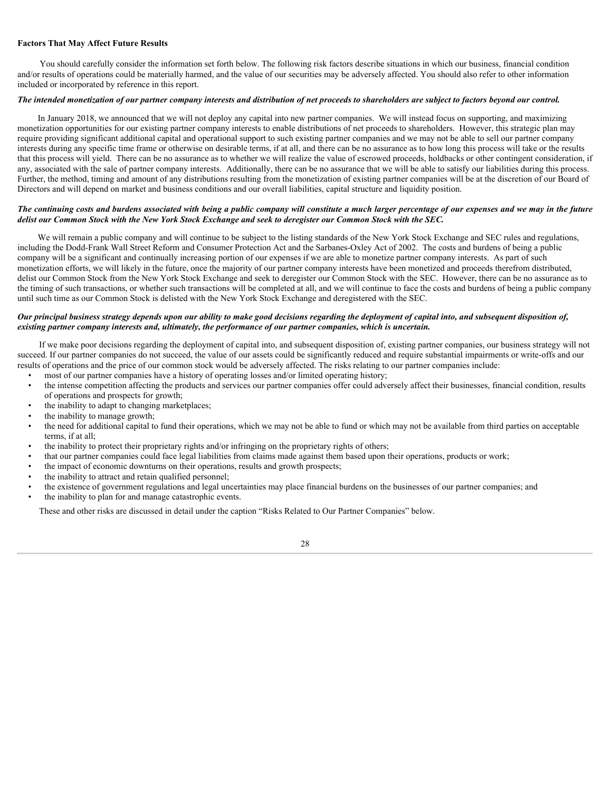## **Factors That May Affect Future Results**

You should carefully consider the information set forth below. The following risk factors describe situations in which our business, financial condition and/or results of operations could be materially harmed, and the value of our securities may be adversely affected. You should also refer to other information included or incorporated by reference in this report.

## *The intended monetization of our partner company interests and distribution of net proceeds to shareholders are subject to factors beyond our control.*

In January 2018, we announced that we will not deploy any capital into new partner companies. We will instead focus on supporting, and maximizing monetization opportunities for our existing partner company interests to enable distributions of net proceeds to shareholders. However, this strategic plan may require providing significant additional capital and operational support to such existing partner companies and we may not be able to sell our partner company interests during any specific time frame or otherwise on desirable terms, if at all, and there can be no assurance as to how long this process will take or the results that this process will yield. There can be no assurance as to whether we will realize the value of escrowed proceeds, holdbacks or other contingent consideration, if any, associated with the sale of partner company interests. Additionally, there can be no assurance that we will be able to satisfy our liabilities during this process. Further, the method, timing and amount of any distributions resulting from the monetization of existing partner companies will be at the discretion of our Board of Directors and will depend on market and business conditions and our overall liabilities, capital structure and liquidity position.

## *The continuing costs and burdens associated with being a public company will constitute a much larger percentage of our expenses and we may in the future delist our Common Stock with the New York Stock Exchange and seek to deregister our Common Stock with the SEC.*

We will remain a public company and will continue to be subject to the listing standards of the New York Stock Exchange and SEC rules and regulations, including the Dodd-Frank Wall Street Reform and Consumer Protection Act and the Sarbanes-Oxley Act of 2002. The costs and burdens of being a public company will be a significant and continually increasing portion of our expenses if we are able to monetize partner company interests. As part of such monetization efforts, we will likely in the future, once the majority of our partner company interests have been monetized and proceeds therefrom distributed, delist our Common Stock from the New York Stock Exchange and seek to deregister our Common Stock with the SEC. However, there can be no assurance as to the timing of such transactions, or whether such transactions will be completed at all, and we will continue to face the costs and burdens of being a public company until such time as our Common Stock is delisted with the New York Stock Exchange and deregistered with the SEC.

#### *Our principal business strategy depends upon our ability to make good decisions regarding the deployment of capital into, and subsequent disposition of, existing partner company interests and, ultimately, the performance of our partner companies, which is uncertain.*

If we make poor decisions regarding the deployment of capital into, and subsequent disposition of, existing partner companies, our business strategy will not succeed. If our partner companies do not succeed, the value of our assets could be significantly reduced and require substantial impairments or write-offs and our results of operations and the price of our common stock would be adversely affected. The risks relating to our partner companies include:

- most of our partner companies have a history of operating losses and/or limited operating history;
- the intense competition affecting the products and services our partner companies offer could adversely affect their businesses, financial condition, results of operations and prospects for growth;
- the inability to adapt to changing marketplaces;
- the inability to manage growth;
- the need for additional capital to fund their operations, which we may not be able to fund or which may not be available from third parties on acceptable terms, if at all;
- the inability to protect their proprietary rights and/or infringing on the proprietary rights of others;
- that our partner companies could face legal liabilities from claims made against them based upon their operations, products or work;
- the impact of economic downturns on their operations, results and growth prospects;
- the inability to attract and retain qualified personnel;
- the existence of government regulations and legal uncertainties may place financial burdens on the businesses of our partner companies; and
- the inability to plan for and manage catastrophic events.

These and other risks are discussed in detail under the caption "Risks Related to Our Partner Companies" below.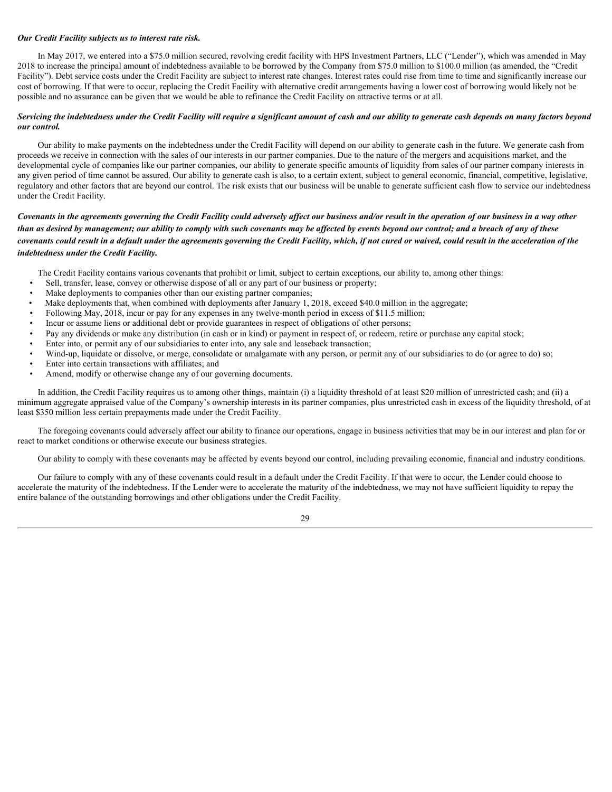## *Our Credit Facility subjects us to interest rate risk.*

In May 2017, we entered into a \$75.0 million secured, revolving credit facility with HPS Investment Partners, LLC ("Lender"), which was amended in May 2018 to increase the principal amount of indebtedness available to be borrowed by the Company from \$75.0 million to \$100.0 million (as amended, the "Credit Facility"). Debt service costs under the Credit Facility are subject to interest rate changes. Interest rates could rise from time to time and significantly increase our cost of borrowing. If that were to occur, replacing the Credit Facility with alternative credit arrangements having a lower cost of borrowing would likely not be possible and no assurance can be given that we would be able to refinance the Credit Facility on attractive terms or at all.

## *Servicing the indebtedness under the Credit Facility will require a significant amount of cash and our ability to generate cash depends on many factors beyond our control.*

Our ability to make payments on the indebtedness under the Credit Facility will depend on our ability to generate cash in the future. We generate cash from proceeds we receive in connection with the sales of our interests in our partner companies. Due to the nature of the mergers and acquisitions market, and the developmental cycle of companies like our partner companies, our ability to generate specific amounts of liquidity from sales of our partner company interests in any given period of time cannot be assured. Our ability to generate cash is also, to a certain extent, subject to general economic, financial, competitive, legislative, regulatory and other factors that are beyond our control. The risk exists that our business will be unable to generate sufficient cash flow to service our indebtedness under the Credit Facility.

## *Covenants in the agreements governing the Credit Facility could adversely affect our business and/or result in the operation of our business in a way other than as desired by management; our ability to comply with such covenants may be affected by events beyond our control; and a breach of any of these covenants could result in a default under the agreements governing the Credit Facility, which, if not cured or waived, could result in the acceleration of the indebtedness under the Credit Facility.*

The Credit Facility contains various covenants that prohibit or limit, subject to certain exceptions, our ability to, among other things:

- Sell, transfer, lease, convey or otherwise dispose of all or any part of our business or property;
- Make deployments to companies other than our existing partner companies;
- Make deployments that, when combined with deployments after January 1, 2018, exceed \$40.0 million in the aggregate;
- Following May, 2018, incur or pay for any expenses in any twelve-month period in excess of \$11.5 million;
- Incur or assume liens or additional debt or provide guarantees in respect of obligations of other persons;
- Pay any dividends or make any distribution (in cash or in kind) or payment in respect of, or redeem, retire or purchase any capital stock;
- Enter into, or permit any of our subsidiaries to enter into, any sale and leaseback transaction;
- Wind-up, liquidate or dissolve, or merge, consolidate or amalgamate with any person, or permit any of our subsidiaries to do (or agree to do) so;
- Enter into certain transactions with affiliates; and
- Amend, modify or otherwise change any of our governing documents.

In addition, the Credit Facility requires us to among other things, maintain (i) a liquidity threshold of at least \$20 million of unrestricted cash; and (ii) a minimum aggregate appraised value of the Company's ownership interests in its partner companies, plus unrestricted cash in excess of the liquidity threshold, of at least \$350 million less certain prepayments made under the Credit Facility.

The foregoing covenants could adversely affect our ability to finance our operations, engage in business activities that may be in our interest and plan for or react to market conditions or otherwise execute our business strategies.

Our ability to comply with these covenants may be affected by events beyond our control, including prevailing economic, financial and industry conditions.

Our failure to comply with any of these covenants could result in a default under the Credit Facility. If that were to occur, the Lender could choose to accelerate the maturity of the indebtedness. If the Lender were to accelerate the maturity of the indebtedness, we may not have sufficient liquidity to repay the entire balance of the outstanding borrowings and other obligations under the Credit Facility.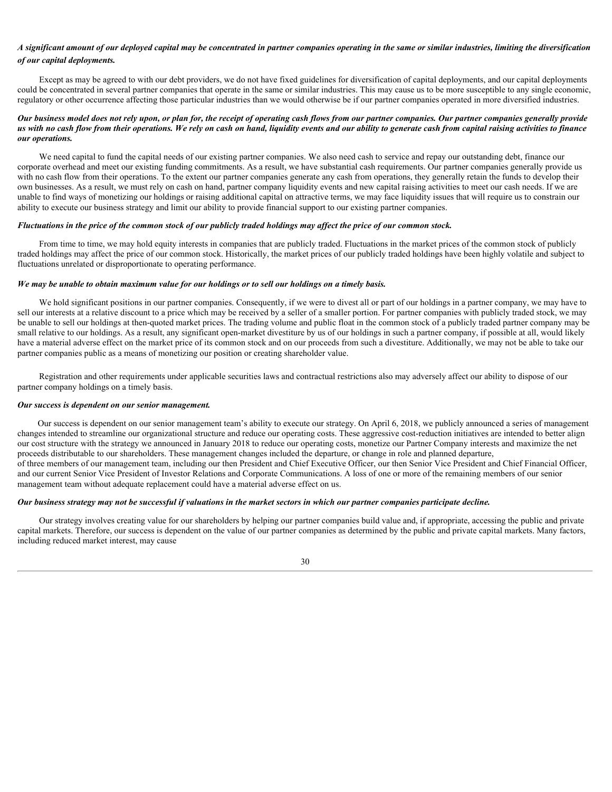## *A significant amount of our deployed capital may be concentrated in partner companies operating in the same or similar industries, limiting the diversification of our capital deployments.*

Except as may be agreed to with our debt providers, we do not have fixed guidelines for diversification of capital deployments, and our capital deployments could be concentrated in several partner companies that operate in the same or similar industries. This may cause us to be more susceptible to any single economic, regulatory or other occurrence affecting those particular industries than we would otherwise be if our partner companies operated in more diversified industries.

## *Our business model does not rely upon, or plan for, the receipt of operating cash flows from our partner companies. Our partner companies generally provide us with no cash flow from their operations. We rely on cash on hand, liquidity events and our ability to generate cash from capital raising activities to finance our operations.*

We need capital to fund the capital needs of our existing partner companies. We also need cash to service and repay our outstanding debt, finance our corporate overhead and meet our existing funding commitments. As a result, we have substantial cash requirements. Our partner companies generally provide us with no cash flow from their operations. To the extent our partner companies generate any cash from operations, they generally retain the funds to develop their own businesses. As a result, we must rely on cash on hand, partner company liquidity events and new capital raising activities to meet our cash needs. If we are unable to find ways of monetizing our holdings or raising additional capital on attractive terms, we may face liquidity issues that will require us to constrain our ability to execute our business strategy and limit our ability to provide financial support to our existing partner companies.

#### *Fluctuations in the price of the common stock of our publicly traded holdings may affect the price of our common stock.*

From time to time, we may hold equity interests in companies that are publicly traded. Fluctuations in the market prices of the common stock of publicly traded holdings may affect the price of our common stock. Historically, the market prices of our publicly traded holdings have been highly volatile and subject to fluctuations unrelated or disproportionate to operating performance.

#### *We may be unable to obtain maximum value for our holdings or to sell our holdings on a timely basis.*

We hold significant positions in our partner companies. Consequently, if we were to divest all or part of our holdings in a partner company, we may have to sell our interests at a relative discount to a price which may be received by a seller of a smaller portion. For partner companies with publicly traded stock, we may be unable to sell our holdings at then-quoted market prices. The trading volume and public float in the common stock of a publicly traded partner company may be small relative to our holdings. As a result, any significant open-market divestiture by us of our holdings in such a partner company, if possible at all, would likely have a material adverse effect on the market price of its common stock and on our proceeds from such a divestiture. Additionally, we may not be able to take our partner companies public as a means of monetizing our position or creating shareholder value.

Registration and other requirements under applicable securities laws and contractual restrictions also may adversely affect our ability to dispose of our partner company holdings on a timely basis.

#### *Our success is dependent on our senior management.*

Our success is dependent on our senior management team's ability to execute our strategy. On April 6, 2018, we publicly announced a series of management changes intended to streamline our organizational structure and reduce our operating costs. These aggressive cost-reduction initiatives are intended to better align our cost structure with the strategy we announced in January 2018 to reduce our operating costs, monetize our Partner Company interests and maximize the net proceeds distributable to our shareholders. These management changes included the departure, or change in role and planned departure, of three members of our management team, including our then President and Chief Executive Officer, our then Senior Vice President and Chief Financial Officer, and our current Senior Vice President of Investor Relations and Corporate Communications. A loss of one or more of the remaining members of our senior management team without adequate replacement could have a material adverse effect on us.

#### *Our business strategy may not be successful if valuations in the market sectors in which our partner companies participate decline.*

Our strategy involves creating value for our shareholders by helping our partner companies build value and, if appropriate, accessing the public and private capital markets. Therefore, our success is dependent on the value of our partner companies as determined by the public and private capital markets. Many factors, including reduced market interest, may cause

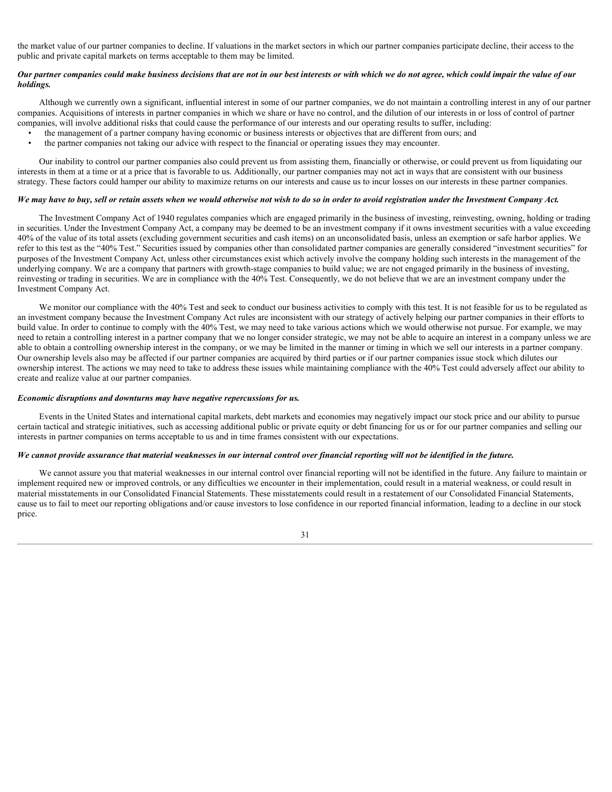the market value of our partner companies to decline. If valuations in the market sectors in which our partner companies participate decline, their access to the public and private capital markets on terms acceptable to them may be limited.

## *Our partner companies could make business decisions that are not in our best interests or with which we do not agree, which could impair the value of our holdings.*

Although we currently own a significant, influential interest in some of our partner companies, we do not maintain a controlling interest in any of our partner companies. Acquisitions of interests in partner companies in which we share or have no control, and the dilution of our interests in or loss of control of partner companies, will involve additional risks that could cause the performance of our interests and our operating results to suffer, including:

- the management of a partner company having economic or business interests or objectives that are different from ours; and
- the partner companies not taking our advice with respect to the financial or operating issues they may encounter.

Our inability to control our partner companies also could prevent us from assisting them, financially or otherwise, or could prevent us from liquidating our interests in them at a time or at a price that is favorable to us. Additionally, our partner companies may not act in ways that are consistent with our business strategy. These factors could hamper our ability to maximize returns on our interests and cause us to incur losses on our interests in these partner companies.

#### *We may have to buy, sell or retain assets when we would otherwise not wish to do so in order to avoid registration under the Investment Company Act.*

The Investment Company Act of 1940 regulates companies which are engaged primarily in the business of investing, reinvesting, owning, holding or trading in securities. Under the Investment Company Act, a company may be deemed to be an investment company if it owns investment securities with a value exceeding 40% of the value of its total assets (excluding government securities and cash items) on an unconsolidated basis, unless an exemption or safe harbor applies. We refer to this test as the "40% Test." Securities issued by companies other than consolidated partner companies are generally considered "investment securities" for purposes of the Investment Company Act, unless other circumstances exist which actively involve the company holding such interests in the management of the underlying company. We are a company that partners with growth-stage companies to build value; we are not engaged primarily in the business of investing, reinvesting or trading in securities. We are in compliance with the 40% Test. Consequently, we do not believe that we are an investment company under the Investment Company Act.

We monitor our compliance with the 40% Test and seek to conduct our business activities to comply with this test. It is not feasible for us to be regulated as an investment company because the Investment Company Act rules are inconsistent with our strategy of actively helping our partner companies in their efforts to build value. In order to continue to comply with the 40% Test, we may need to take various actions which we would otherwise not pursue. For example, we may need to retain a controlling interest in a partner company that we no longer consider strategic, we may not be able to acquire an interest in a company unless we are able to obtain a controlling ownership interest in the company, or we may be limited in the manner or timing in which we sell our interests in a partner company. Our ownership levels also may be affected if our partner companies are acquired by third parties or if our partner companies issue stock which dilutes our ownership interest. The actions we may need to take to address these issues while maintaining compliance with the 40% Test could adversely affect our ability to create and realize value at our partner companies.

#### *Economic disruptions and downturns may have negative repercussions for us.*

Events in the United States and international capital markets, debt markets and economies may negatively impact our stock price and our ability to pursue certain tactical and strategic initiatives, such as accessing additional public or private equity or debt financing for us or for our partner companies and selling our interests in partner companies on terms acceptable to us and in time frames consistent with our expectations.

#### *We cannot provide assurance that material weaknesses in our internal control over financial reporting will not be identified in the future.*

We cannot assure you that material weaknesses in our internal control over financial reporting will not be identified in the future. Any failure to maintain or implement required new or improved controls, or any difficulties we encounter in their implementation, could result in a material weakness, or could result in material misstatements in our Consolidated Financial Statements. These misstatements could result in a restatement of our Consolidated Financial Statements, cause us to fail to meet our reporting obligations and/or cause investors to lose confidence in our reported financial information, leading to a decline in our stock price.

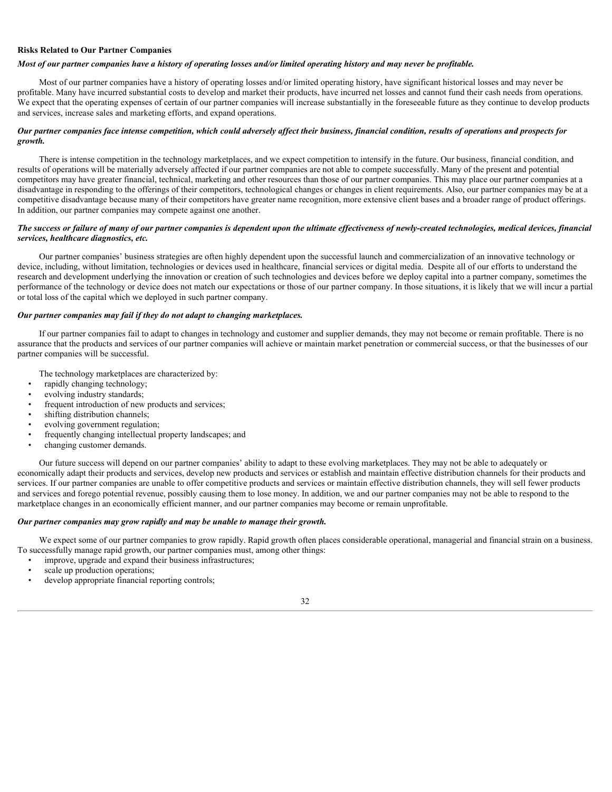## **Risks Related to Our Partner Companies**

#### *Most of our partner companies have a history of operating losses and/or limited operating history and may never be profitable.*

Most of our partner companies have a history of operating losses and/or limited operating history, have significant historical losses and may never be profitable. Many have incurred substantial costs to develop and market their products, have incurred net losses and cannot fund their cash needs from operations. We expect that the operating expenses of certain of our partner companies will increase substantially in the foreseeable future as they continue to develop products and services, increase sales and marketing efforts, and expand operations.

## *Our partner companies face intense competition, which could adversely affect their business, financial condition, results of operations and prospects for growth.*

There is intense competition in the technology marketplaces, and we expect competition to intensify in the future. Our business, financial condition, and results of operations will be materially adversely affected if our partner companies are not able to compete successfully. Many of the present and potential competitors may have greater financial, technical, marketing and other resources than those of our partner companies. This may place our partner companies at a disadvantage in responding to the offerings of their competitors, technological changes or changes in client requirements. Also, our partner companies may be at a competitive disadvantage because many of their competitors have greater name recognition, more extensive client bases and a broader range of product offerings. In addition, our partner companies may compete against one another.

## *The success or failure of many of our partner companies is dependent upon the ultimate effectiveness of newly-created technologies, medical devices, financial services, healthcare diagnostics, etc.*

Our partner companies' business strategies are often highly dependent upon the successful launch and commercialization of an innovative technology or device, including, without limitation, technologies or devices used in healthcare, financial services or digital media. Despite all of our efforts to understand the research and development underlying the innovation or creation of such technologies and devices before we deploy capital into a partner company, sometimes the performance of the technology or device does not match our expectations or those of our partner company. In those situations, it is likely that we will incur a partial or total loss of the capital which we deployed in such partner company.

#### *Our partner companies may fail if they do not adapt to changing marketplaces.*

If our partner companies fail to adapt to changes in technology and customer and supplier demands, they may not become or remain profitable. There is no assurance that the products and services of our partner companies will achieve or maintain market penetration or commercial success, or that the businesses of our partner companies will be successful.

The technology marketplaces are characterized by:

- rapidly changing technology;
- evolving industry standards;
- frequent introduction of new products and services;
- shifting distribution channels;
- evolving government regulation;
- frequently changing intellectual property landscapes; and
- changing customer demands.

Our future success will depend on our partner companies' ability to adapt to these evolving marketplaces. They may not be able to adequately or economically adapt their products and services, develop new products and services or establish and maintain effective distribution channels for their products and services. If our partner companies are unable to offer competitive products and services or maintain effective distribution channels, they will sell fewer products and services and forego potential revenue, possibly causing them to lose money. In addition, we and our partner companies may not be able to respond to the marketplace changes in an economically efficient manner, and our partner companies may become or remain unprofitable.

#### *Our partner companies may grow rapidly and may be unable to manage their growth.*

We expect some of our partner companies to grow rapidly. Rapid growth often places considerable operational, managerial and financial strain on a business. To successfully manage rapid growth, our partner companies must, among other things:

- improve, upgrade and expand their business infrastructures;
- scale up production operations;
- develop appropriate financial reporting controls;

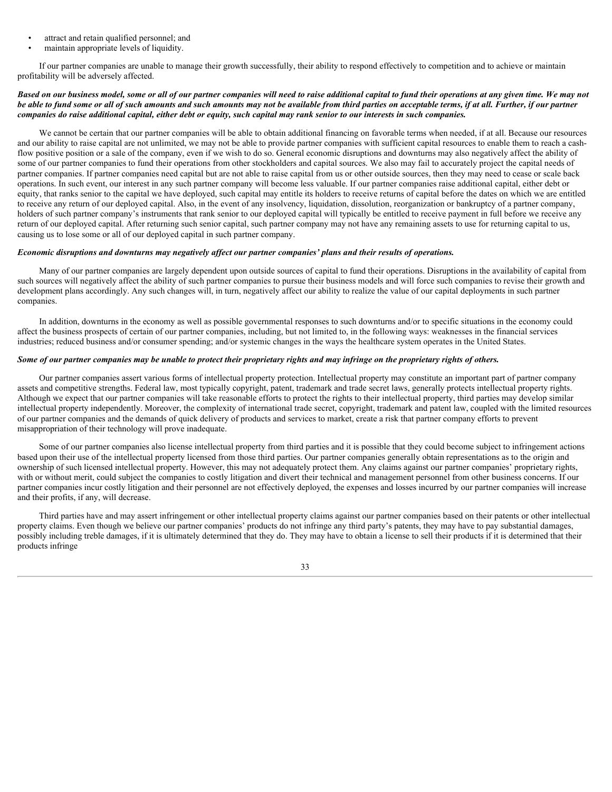- attract and retain qualified personnel; and
- maintain appropriate levels of liquidity.

If our partner companies are unable to manage their growth successfully, their ability to respond effectively to competition and to achieve or maintain profitability will be adversely affected.

#### *Based on our business model, some or all of our partner companies will need to raise additional capital to fund their operations at any given time. We may not be able to fund some or all of such amounts and such amounts may not be available from third parties on acceptable terms, if at all. Further, if our partner companies do raise additional capital, either debt or equity, such capital may rank senior to our interests in such companies.*

We cannot be certain that our partner companies will be able to obtain additional financing on favorable terms when needed, if at all. Because our resources and our ability to raise capital are not unlimited, we may not be able to provide partner companies with sufficient capital resources to enable them to reach a cashflow positive position or a sale of the company, even if we wish to do so. General economic disruptions and downturns may also negatively affect the ability of some of our partner companies to fund their operations from other stockholders and capital sources. We also may fail to accurately project the capital needs of partner companies. If partner companies need capital but are not able to raise capital from us or other outside sources, then they may need to cease or scale back operations. In such event, our interest in any such partner company will become less valuable. If our partner companies raise additional capital, either debt or equity, that ranks senior to the capital we have deployed, such capital may entitle its holders to receive returns of capital before the dates on which we are entitled to receive any return of our deployed capital. Also, in the event of any insolvency, liquidation, dissolution, reorganization or bankruptcy of a partner company, holders of such partner company's instruments that rank senior to our deployed capital will typically be entitled to receive payment in full before we receive any return of our deployed capital. After returning such senior capital, such partner company may not have any remaining assets to use for returning capital to us, causing us to lose some or all of our deployed capital in such partner company.

## *Economic disruptions and downturns may negatively affect our partner companies' plans and their results of operations.*

Many of our partner companies are largely dependent upon outside sources of capital to fund their operations. Disruptions in the availability of capital from such sources will negatively affect the ability of such partner companies to pursue their business models and will force such companies to revise their growth and development plans accordingly. Any such changes will, in turn, negatively affect our ability to realize the value of our capital deployments in such partner companies.

In addition, downturns in the economy as well as possible governmental responses to such downturns and/or to specific situations in the economy could affect the business prospects of certain of our partner companies, including, but not limited to, in the following ways: weaknesses in the financial services industries; reduced business and/or consumer spending; and/or systemic changes in the ways the healthcare system operates in the United States.

#### *Some of our partner companies may be unable to protect their proprietary rights and may infringe on the proprietary rights of others.*

Our partner companies assert various forms of intellectual property protection. Intellectual property may constitute an important part of partner company assets and competitive strengths. Federal law, most typically copyright, patent, trademark and trade secret laws, generally protects intellectual property rights. Although we expect that our partner companies will take reasonable efforts to protect the rights to their intellectual property, third parties may develop similar intellectual property independently. Moreover, the complexity of international trade secret, copyright, trademark and patent law, coupled with the limited resources of our partner companies and the demands of quick delivery of products and services to market, create a risk that partner company efforts to prevent misappropriation of their technology will prove inadequate.

Some of our partner companies also license intellectual property from third parties and it is possible that they could become subject to infringement actions based upon their use of the intellectual property licensed from those third parties. Our partner companies generally obtain representations as to the origin and ownership of such licensed intellectual property. However, this may not adequately protect them. Any claims against our partner companies' proprietary rights, with or without merit, could subject the companies to costly litigation and divert their technical and management personnel from other business concerns. If our partner companies incur costly litigation and their personnel are not effectively deployed, the expenses and losses incurred by our partner companies will increase and their profits, if any, will decrease.

Third parties have and may assert infringement or other intellectual property claims against our partner companies based on their patents or other intellectual property claims. Even though we believe our partner companies' products do not infringe any third party's patents, they may have to pay substantial damages, possibly including treble damages, if it is ultimately determined that they do. They may have to obtain a license to sell their products if it is determined that their products infringe

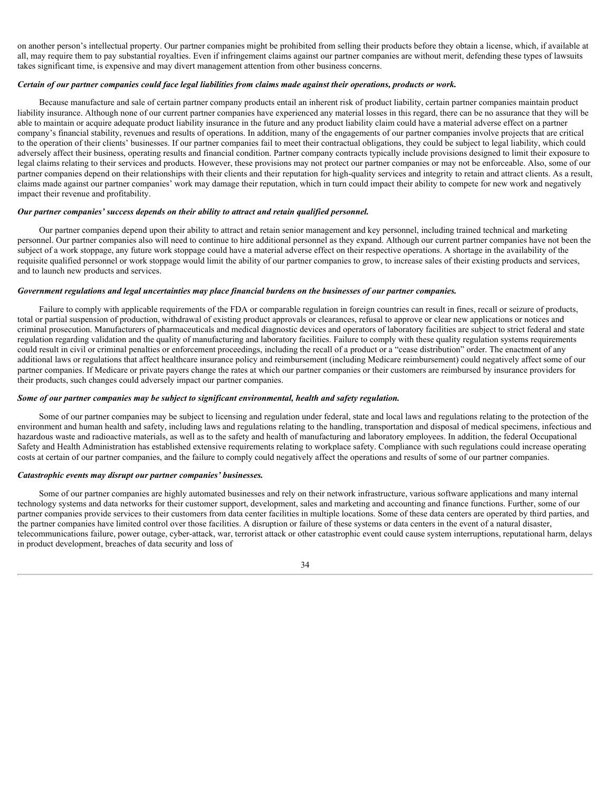on another person's intellectual property. Our partner companies might be prohibited from selling their products before they obtain a license, which, if available at all, may require them to pay substantial royalties. Even if infringement claims against our partner companies are without merit, defending these types of lawsuits takes significant time, is expensive and may divert management attention from other business concerns.

#### *Certain of our partner companies could face legal liabilities from claims made against their operations, products or work.*

Because manufacture and sale of certain partner company products entail an inherent risk of product liability, certain partner companies maintain product liability insurance. Although none of our current partner companies have experienced any material losses in this regard, there can be no assurance that they will be able to maintain or acquire adequate product liability insurance in the future and any product liability claim could have a material adverse effect on a partner company's financial stability, revenues and results of operations. In addition, many of the engagements of our partner companies involve projects that are critical to the operation of their clients' businesses. If our partner companies fail to meet their contractual obligations, they could be subject to legal liability, which could adversely affect their business, operating results and financial condition. Partner company contracts typically include provisions designed to limit their exposure to legal claims relating to their services and products. However, these provisions may not protect our partner companies or may not be enforceable. Also, some of our partner companies depend on their relationships with their clients and their reputation for high-quality services and integrity to retain and attract clients. As a result, claims made against our partner companies' work may damage their reputation, which in turn could impact their ability to compete for new work and negatively impact their revenue and profitability.

#### *Our partner companies' success depends on their ability to attract and retain qualified personnel.*

Our partner companies depend upon their ability to attract and retain senior management and key personnel, including trained technical and marketing personnel. Our partner companies also will need to continue to hire additional personnel as they expand. Although our current partner companies have not been the subject of a work stoppage, any future work stoppage could have a material adverse effect on their respective operations. A shortage in the availability of the requisite qualified personnel or work stoppage would limit the ability of our partner companies to grow, to increase sales of their existing products and services, and to launch new products and services.

## *Government regulations and legal uncertainties may place financial burdens on the businesses of our partner companies.*

Failure to comply with applicable requirements of the FDA or comparable regulation in foreign countries can result in fines, recall or seizure of products, total or partial suspension of production, withdrawal of existing product approvals or clearances, refusal to approve or clear new applications or notices and criminal prosecution. Manufacturers of pharmaceuticals and medical diagnostic devices and operators of laboratory facilities are subject to strict federal and state regulation regarding validation and the quality of manufacturing and laboratory facilities. Failure to comply with these quality regulation systems requirements could result in civil or criminal penalties or enforcement proceedings, including the recall of a product or a "cease distribution" order. The enactment of any additional laws or regulations that affect healthcare insurance policy and reimbursement (including Medicare reimbursement) could negatively affect some of our partner companies. If Medicare or private payers change the rates at which our partner companies or their customers are reimbursed by insurance providers for their products, such changes could adversely impact our partner companies.

#### *Some of our partner companies may be subject to significant environmental, health and safety regulation.*

Some of our partner companies may be subject to licensing and regulation under federal, state and local laws and regulations relating to the protection of the environment and human health and safety, including laws and regulations relating to the handling, transportation and disposal of medical specimens, infectious and hazardous waste and radioactive materials, as well as to the safety and health of manufacturing and laboratory employees. In addition, the federal Occupational Safety and Health Administration has established extensive requirements relating to workplace safety. Compliance with such regulations could increase operating costs at certain of our partner companies, and the failure to comply could negatively affect the operations and results of some of our partner companies.

#### *Catastrophic events may disrupt our partner companies' businesses.*

Some of our partner companies are highly automated businesses and rely on their network infrastructure, various software applications and many internal technology systems and data networks for their customer support, development, sales and marketing and accounting and finance functions. Further, some of our partner companies provide services to their customers from data center facilities in multiple locations. Some of these data centers are operated by third parties, and the partner companies have limited control over those facilities. A disruption or failure of these systems or data centers in the event of a natural disaster, telecommunications failure, power outage, cyber-attack, war, terrorist attack or other catastrophic event could cause system interruptions, reputational harm, delays in product development, breaches of data security and loss of

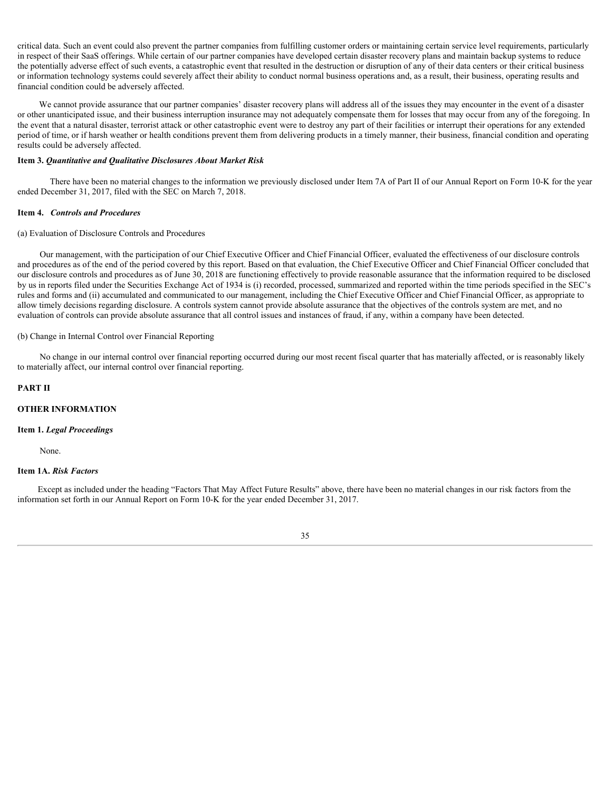critical data. Such an event could also prevent the partner companies from fulfilling customer orders or maintaining certain service level requirements, particularly in respect of their SaaS offerings. While certain of our partner companies have developed certain disaster recovery plans and maintain backup systems to reduce the potentially adverse effect of such events, a catastrophic event that resulted in the destruction or disruption of any of their data centers or their critical business or information technology systems could severely affect their ability to conduct normal business operations and, as a result, their business, operating results and financial condition could be adversely affected.

We cannot provide assurance that our partner companies' disaster recovery plans will address all of the issues they may encounter in the event of a disaster or other unanticipated issue, and their business interruption insurance may not adequately compensate them for losses that may occur from any of the foregoing. In the event that a natural disaster, terrorist attack or other catastrophic event were to destroy any part of their facilities or interrupt their operations for any extended period of time, or if harsh weather or health conditions prevent them from delivering products in a timely manner, their business, financial condition and operating results could be adversely affected.

#### <span id="page-34-0"></span>**Item 3.** *Quantitative and Qualitative Disclosures About Market Risk*

There have been no material changes to the information we previously disclosed under Item 7A of Part II of our Annual Report on Form 10-K for the year ended December 31, 2017, filed with the SEC on March 7, 2018.

#### <span id="page-34-1"></span>**Item 4.** *Controls and Procedures*

#### (a) Evaluation of Disclosure Controls and Procedures

Our management, with the participation of our Chief Executive Officer and Chief Financial Officer, evaluated the effectiveness of our disclosure controls and procedures as of the end of the period covered by this report. Based on that evaluation, the Chief Executive Officer and Chief Financial Officer concluded that our disclosure controls and procedures as of June 30, 2018 are functioning effectively to provide reasonable assurance that the information required to be disclosed by us in reports filed under the Securities Exchange Act of 1934 is (i) recorded, processed, summarized and reported within the time periods specified in the SEC's rules and forms and (ii) accumulated and communicated to our management, including the Chief Executive Officer and Chief Financial Officer, as appropriate to allow timely decisions regarding disclosure. A controls system cannot provide absolute assurance that the objectives of the controls system are met, and no evaluation of controls can provide absolute assurance that all control issues and instances of fraud, if any, within a company have been detected.

## (b) Change in Internal Control over Financial Reporting

No change in our internal control over financial reporting occurred during our most recent fiscal quarter that has materially affected, or is reasonably likely to materially affect, our internal control over financial reporting.

#### <span id="page-34-2"></span>**PART II**

## **OTHER INFORMATION**

#### **Item 1.** *Legal Proceedings*

None.

#### <span id="page-34-3"></span>**Item 1A.** *Risk Factors*

Except as included under the heading "Factors That May Affect Future Results" above, there have been no material changes in our risk factors from the information set forth in our Annual Report on Form 10-K for the year ended December 31, 2017.

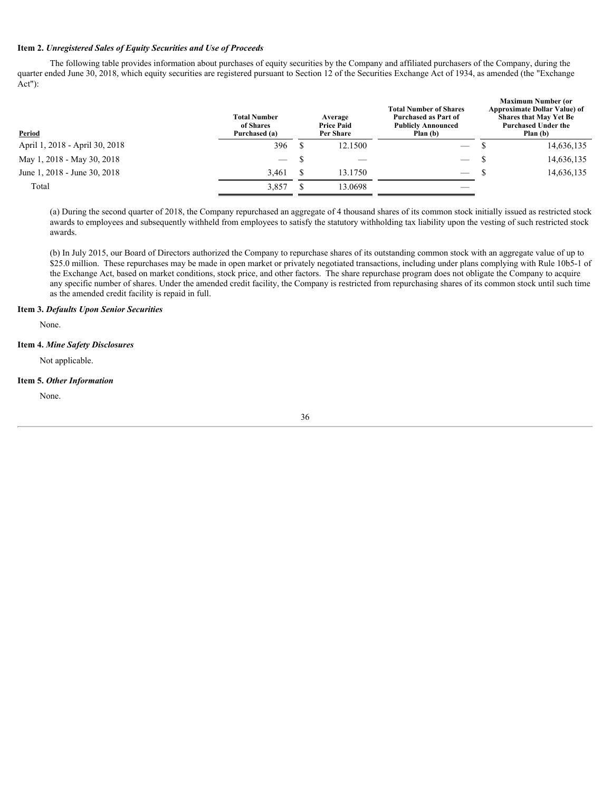## <span id="page-35-0"></span>**Item 2.** *Unregistered Sales of Equity Securities and Use of Proceeds*

The following table provides information about purchases of equity securities by the Company and affiliated purchasers of the Company, during the quarter ended June 30, 2018, which equity securities are registered pursuant to Section 12 of the Securities Exchange Act of 1934, as amended (the "Exchange Act"):

| Period                         | <b>Total Number</b><br>of Shares<br>Purchased (a) | Average<br><b>Price Paid</b><br>Per Share | <b>Total Number of Shares</b><br>Purchased as Part of<br><b>Publicly Announced</b><br>Plan (b) | <b>Maximum Number (or</b><br>Approximate Dollar Value) of<br><b>Shares that May Yet Be</b><br><b>Purchased Under the</b><br>Plan (b) |  |
|--------------------------------|---------------------------------------------------|-------------------------------------------|------------------------------------------------------------------------------------------------|--------------------------------------------------------------------------------------------------------------------------------------|--|
| April 1, 2018 - April 30, 2018 | 396S                                              | 12.1500                                   | $\overline{\phantom{m}}$                                                                       | 14,636,135                                                                                                                           |  |
| May 1, 2018 - May 30, 2018     | $\overline{\phantom{a}}$                          |                                           | $\overline{\phantom{a}}$                                                                       | 14,636,135                                                                                                                           |  |
| June 1, 2018 - June 30, 2018   | 3,461                                             | 13.1750                                   | $\hspace{0.1mm}-\hspace{0.1mm}$                                                                | 14,636,135                                                                                                                           |  |
| Total                          | 3,857                                             | 13.0698                                   | $\overbrace{\hspace{25mm}}^{}$                                                                 |                                                                                                                                      |  |
|                                |                                                   |                                           |                                                                                                |                                                                                                                                      |  |

(a) During the second quarter of 2018, the Company repurchased an aggregate of 4 thousand shares of its common stock initially issued as restricted stock awards to employees and subsequently withheld from employees to satisfy the statutory withholding tax liability upon the vesting of such restricted stock awards.

(b) In July 2015, our Board of Directors authorized the Company to repurchase shares of its outstanding common stock with an aggregate value of up to \$25.0 million. These repurchases may be made in open market or privately negotiated transactions, including under plans complying with Rule 10b5-1 of the Exchange Act, based on market conditions, stock price, and other factors. The share repurchase program does not obligate the Company to acquire any specific number of shares. Under the amended credit facility, the Company is restricted from repurchasing shares of its common stock until such time as the amended credit facility is repaid in full.

## <span id="page-35-1"></span>**Item 3.** *Defaults Upon Senior Securities*

None.

## <span id="page-35-2"></span>**Item 4.** *Mine Safety Disclosures*

Not applicable.

#### <span id="page-35-3"></span>**Item 5.** *Other Information*

None.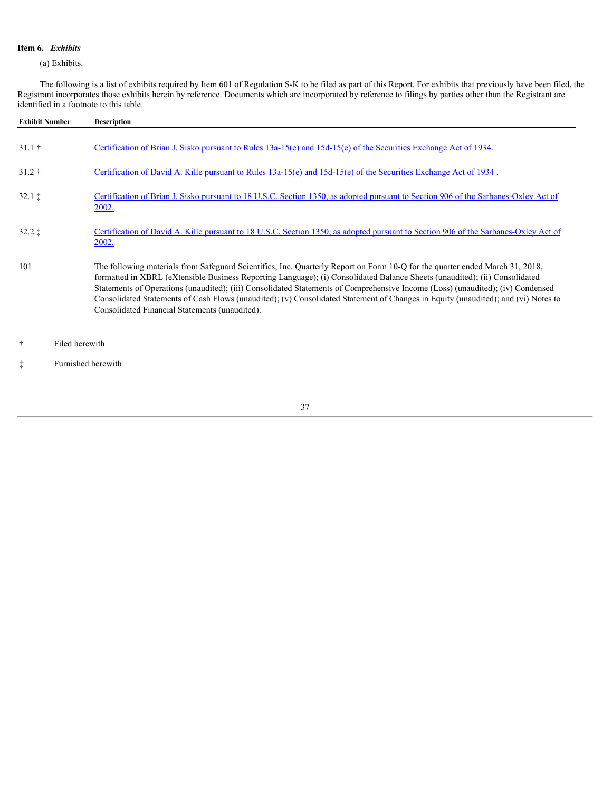## <span id="page-36-0"></span>**Item 6.** *Exhibits*

(a) Exhibits.

The following is a list of exhibits required by Item 601 of Regulation S-K to be filed as part of this Report. For exhibits that previously have been filed, the Registrant incorporates those exhibits herein by reference. Documents which are incorporated by reference to filings by parties other than the Registrant are identified in a footnote to this table.

| <b>Exhibit Number</b>   | <b>Description</b>                                                                                                                                                                                                                                                                                                                                                                                                                                                                                                                                                                  |
|-------------------------|-------------------------------------------------------------------------------------------------------------------------------------------------------------------------------------------------------------------------------------------------------------------------------------------------------------------------------------------------------------------------------------------------------------------------------------------------------------------------------------------------------------------------------------------------------------------------------------|
| $31.1 \;{\rm t}$        | Certification of Brian J. Sisko pursuant to Rules $13a-15(e)$ and $15d-15(e)$ of the Securities Exchange Act of 1934.                                                                                                                                                                                                                                                                                                                                                                                                                                                               |
| $31.2 \text{ }^{\circ}$ | Certification of David A. Kille pursuant to Rules $13a-15(e)$ and $15d-15(e)$ of the Securities Exchange Act of 1934.                                                                                                                                                                                                                                                                                                                                                                                                                                                               |
| $32.1 \;$ $\ddagger$    | Certification of Brian J. Sisko pursuant to 18 U.S.C. Section 1350, as adopted pursuant to Section 906 of the Sarbanes-Oxley Act of<br><u>2002.</u>                                                                                                                                                                                                                                                                                                                                                                                                                                 |
| $32.2 \; \text{t}$      | Certification of David A. Kille pursuant to 18 U.S.C. Section 1350, as adopted pursuant to Section 906 of the Sarbanes-Oxley Act of<br><u>2002.</u>                                                                                                                                                                                                                                                                                                                                                                                                                                 |
| 101                     | The following materials from Safeguard Scientifics, Inc. Quarterly Report on Form 10-Q for the quarter ended March 31, 2018,<br>formatted in XBRL (eXtensible Business Reporting Language); (i) Consolidated Balance Sheets (unaudited); (ii) Consolidated<br>Statements of Operations (unaudited); (iii) Consolidated Statements of Comprehensive Income (Loss) (unaudited); (iv) Condensed<br>Consolidated Statements of Cash Flows (unaudited); (v) Consolidated Statement of Changes in Equity (unaudited); and (vi) Notes to<br>Consolidated Financial Statements (unaudited). |
| ÷.                      | Filed herewith                                                                                                                                                                                                                                                                                                                                                                                                                                                                                                                                                                      |

‡ Furnished herewith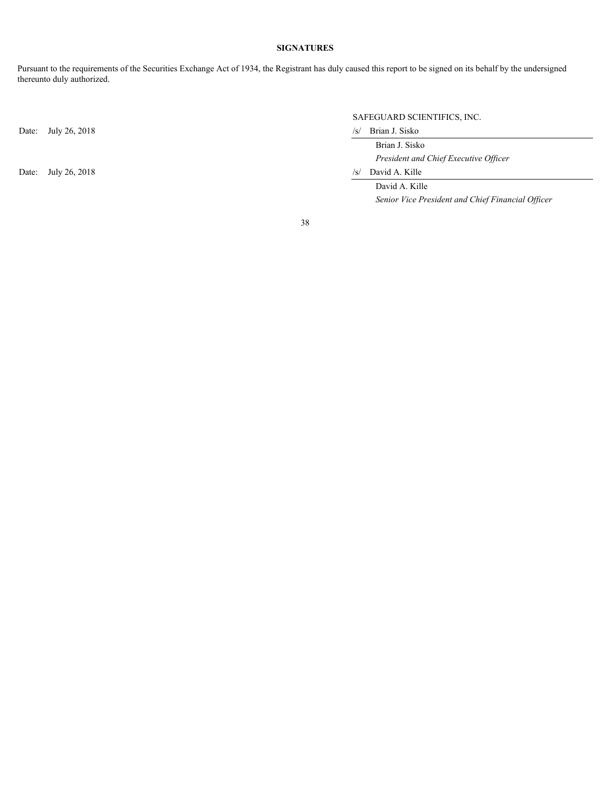## **SIGNATURES**

<span id="page-37-0"></span>Pursuant to the requirements of the Securities Exchange Act of 1934, the Registrant has duly caused this report to be signed on its behalf by the undersigned thereunto duly authorized.

Date: July 26, 2018 /s/ Brian J. Sisko

Date: July 26, 2018 /s/ David A. Kille

## SAFEGUARD SCIENTIFICS, INC.

 Brian J. Sisko *President and Chief Executive Officer*

David A. Kille *Senior Vice President and Chief Financial Officer*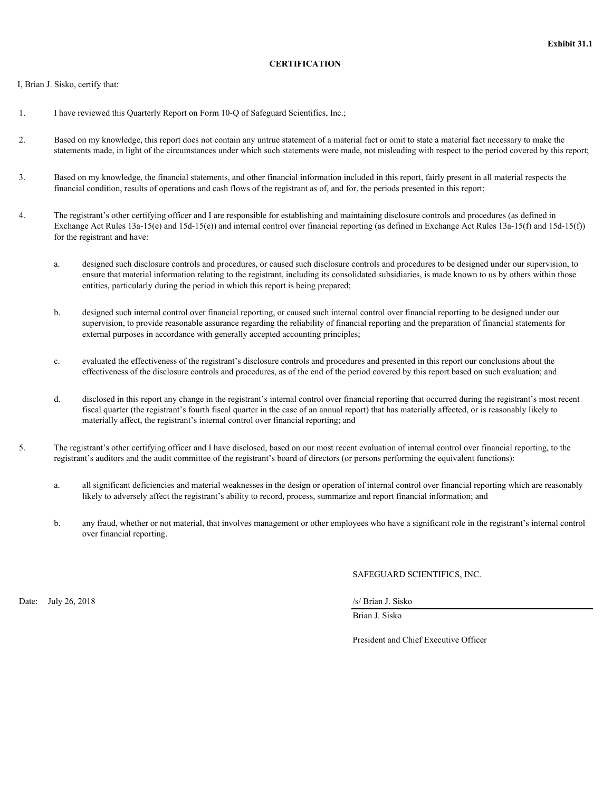## **CERTIFICATION**

<span id="page-38-0"></span>I, Brian J. Sisko, certify that:

- 1. I have reviewed this Quarterly Report on Form 10-Q of Safeguard Scientifics, Inc.;
- 2. Based on my knowledge, this report does not contain any untrue statement of a material fact or omit to state a material fact necessary to make the statements made, in light of the circumstances under which such statements were made, not misleading with respect to the period covered by this report;
- 3. Based on my knowledge, the financial statements, and other financial information included in this report, fairly present in all material respects the financial condition, results of operations and cash flows of the registrant as of, and for, the periods presented in this report;
- 4. The registrant's other certifying officer and I are responsible for establishing and maintaining disclosure controls and procedures (as defined in Exchange Act Rules  $13a-15(e)$  and  $15d-15(e)$ ) and internal control over financial reporting (as defined in Exchange Act Rules  $13a-15(f)$ ) and  $15d-15(f)$ ) for the registrant and have:
	- a. designed such disclosure controls and procedures, or caused such disclosure controls and procedures to be designed under our supervision, to ensure that material information relating to the registrant, including its consolidated subsidiaries, is made known to us by others within those entities, particularly during the period in which this report is being prepared;
	- b. designed such internal control over financial reporting, or caused such internal control over financial reporting to be designed under our supervision, to provide reasonable assurance regarding the reliability of financial reporting and the preparation of financial statements for external purposes in accordance with generally accepted accounting principles;
	- c. evaluated the effectiveness of the registrant's disclosure controls and procedures and presented in this report our conclusions about the effectiveness of the disclosure controls and procedures, as of the end of the period covered by this report based on such evaluation; and
	- d. disclosed in this report any change in the registrant's internal control over financial reporting that occurred during the registrant's most recent fiscal quarter (the registrant's fourth fiscal quarter in the case of an annual report) that has materially affected, or is reasonably likely to materially affect, the registrant's internal control over financial reporting; and
- 5. The registrant's other certifying officer and I have disclosed, based on our most recent evaluation of internal control over financial reporting, to the registrant's auditors and the audit committee of the registrant's board of directors (or persons performing the equivalent functions):
	- a. all significant deficiencies and material weaknesses in the design or operation of internal control over financial reporting which are reasonably likely to adversely affect the registrant's ability to record, process, summarize and report financial information; and
	- b. any fraud, whether or not material, that involves management or other employees who have a significant role in the registrant's internal control over financial reporting.

SAFEGUARD SCIENTIFICS, INC.

Date: July 26, 2018<br>
July 26, 2018

Brian J. Sisko

President and Chief Executive Officer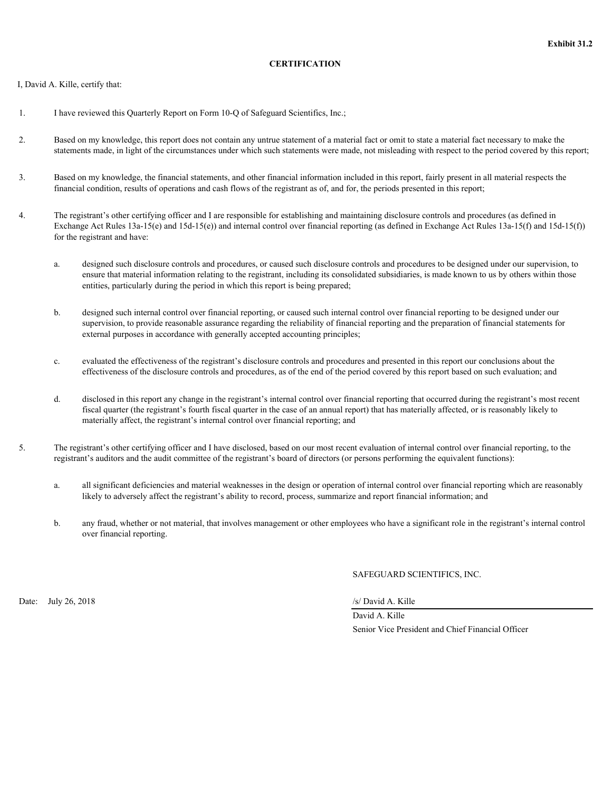## **CERTIFICATION**

<span id="page-39-0"></span>I, David A. Kille, certify that:

- 1. I have reviewed this Quarterly Report on Form 10-Q of Safeguard Scientifics, Inc.;
- 2. Based on my knowledge, this report does not contain any untrue statement of a material fact or omit to state a material fact necessary to make the statements made, in light of the circumstances under which such statements were made, not misleading with respect to the period covered by this report;
- 3. Based on my knowledge, the financial statements, and other financial information included in this report, fairly present in all material respects the financial condition, results of operations and cash flows of the registrant as of, and for, the periods presented in this report;
- 4. The registrant's other certifying officer and I are responsible for establishing and maintaining disclosure controls and procedures (as defined in Exchange Act Rules  $13a-15(e)$  and  $15d-15(e)$ ) and internal control over financial reporting (as defined in Exchange Act Rules  $13a-15(f)$ ) and  $15d-15(f)$ ) for the registrant and have:
	- a. designed such disclosure controls and procedures, or caused such disclosure controls and procedures to be designed under our supervision, to ensure that material information relating to the registrant, including its consolidated subsidiaries, is made known to us by others within those entities, particularly during the period in which this report is being prepared;
	- b. designed such internal control over financial reporting, or caused such internal control over financial reporting to be designed under our supervision, to provide reasonable assurance regarding the reliability of financial reporting and the preparation of financial statements for external purposes in accordance with generally accepted accounting principles;
	- c. evaluated the effectiveness of the registrant's disclosure controls and procedures and presented in this report our conclusions about the effectiveness of the disclosure controls and procedures, as of the end of the period covered by this report based on such evaluation; and
	- d. disclosed in this report any change in the registrant's internal control over financial reporting that occurred during the registrant's most recent fiscal quarter (the registrant's fourth fiscal quarter in the case of an annual report) that has materially affected, or is reasonably likely to materially affect, the registrant's internal control over financial reporting; and
- 5. The registrant's other certifying officer and I have disclosed, based on our most recent evaluation of internal control over financial reporting, to the registrant's auditors and the audit committee of the registrant's board of directors (or persons performing the equivalent functions):
	- a. all significant deficiencies and material weaknesses in the design or operation of internal control over financial reporting which are reasonably likely to adversely affect the registrant's ability to record, process, summarize and report financial information; and
	- b. any fraud, whether or not material, that involves management or other employees who have a significant role in the registrant's internal control over financial reporting.

SAFEGUARD SCIENTIFICS, INC.

Date: July 26, 2018<br>
<u>July 26, 2018</u>

 David A. Kille Senior Vice President and Chief Financial Officer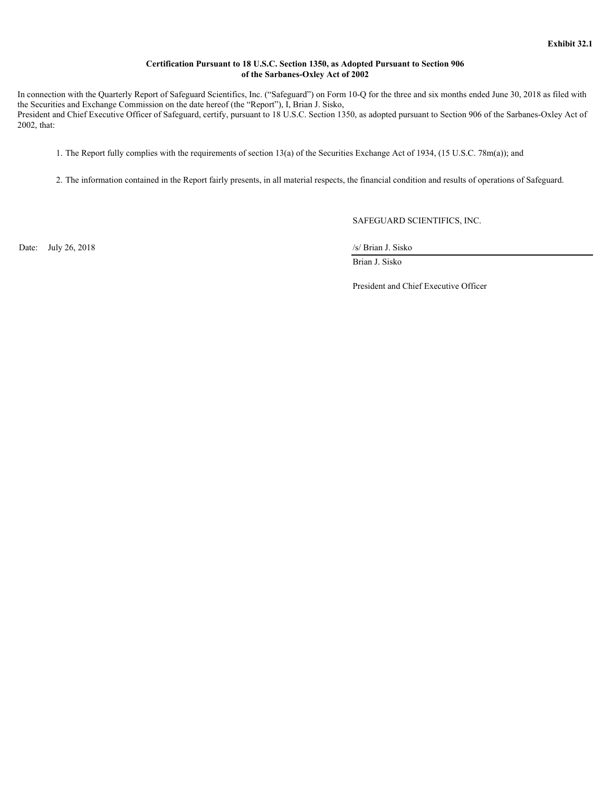## **Certification Pursuant to 18 U.S.C. Section 1350, as Adopted Pursuant to Section 906 of the Sarbanes-Oxley Act of 2002**

<span id="page-40-0"></span> In connection with the Quarterly Report of Safeguard Scientifics, Inc. ("Safeguard") on Form 10-Q for the three and six months ended June 30, 2018 as filed with the Securities and Exchange Commission on the date hereof (the "Report"), I, Brian J. Sisko, President and Chief Executive Officer of Safeguard, certify, pursuant to 18 U.S.C. Section 1350, as adopted pursuant to Section 906 of the Sarbanes-Oxley Act of 2002, that:

1. The Report fully complies with the requirements of section 13(a) of the Securities Exchange Act of 1934, (15 U.S.C. 78m(a)); and

2. The information contained in the Report fairly presents, in all material respects, the financial condition and results of operations of Safeguard.

SAFEGUARD SCIENTIFICS, INC.

Date: July 26, 2018<br>
July 26, 2018

Brian J. Sisko

President and Chief Executive Officer